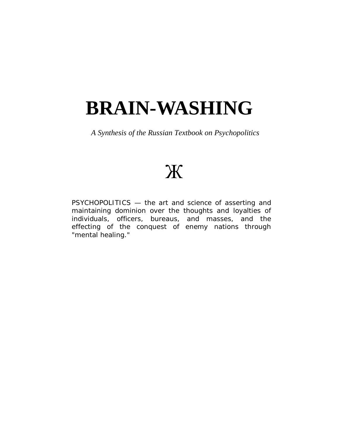# **BRAIN-WASHING**

*A Synthesis of the Russian Textbook on Psychopolitics* 

# Ж

PSYCHOPOLITICS — the art and science of asserting and maintaining dominion over the thoughts and loyalties of individuals, officers, bureaus, and masses, and the effecting of the conquest of enemy nations through "mental healing."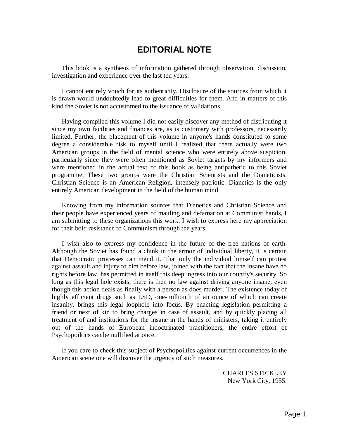### **EDITORIAL NOTE**

This book is a synthesis of information gathered through observation, discussion, investigation and experience over the last ten years.

I cannot entirely vouch for its authenticity. Disclosure of the sources from which it is drawn would undoubtedly lead to great difficulties for them. And in matters of this kind the Soviet is not accustomed to the issuance of validations.

Having compiled this volume I did not easily discover any method of distributing it since my own facilities and finances are, as is customary with professors, necessarily limited. Further, the placement of this volume in anyone's hands constituted to some degree a considerable risk to myself until I realized that there actually were two American groups in the field of mental science who were entirely above suspicion, particularly since they were often mentioned as Soviet targets by my informers and were mentioned in the actual text of this book as being antipathetic to this Soviet programme. These two groups were the Christian Scientists and the Dianeticists. Christian Science is an American Religion, intensely patriotic. Dianetics is the only entirely American development in the field of the human mind.

Knowing from my information sources that Dianetics and Christian Science and their people have experienced years of mauling and defamation at Communist hands, I am submitting to these organizations this work. I wish to express here my appreciation for their bold resistance to Communism through the years.

I wish also to express my confidence in the future of the free nations of earth. Although the Soviet has found a chink in the armor of individual liberty, it is certain that Democratic processes can mend it. That only the individual himself can protest against assault and injury to him before law, joined with the fact that the insane have no rights before law, has permitted in itself this deep ingress into our country's security. So long as this legal hole exists, there is then no law against driving anyone insane, even though this action deals as finally with a person as does murder. The existence today of highly efficient drugs such as LSD, one-millionth of an ounce of which can create insanity, brings this legal loophole into focus. By enacting legislation permitting a friend or next of kin to bring charges in case of assault, and by quickly placing all treatment of and institutions for the insane in the hands of ministers, taking it entirely out of the hands of European indoctrinated practitioners, the entire effort of Psychopoiltics can be nullified at once.

If you care to check this subject of Psychopoiltics against current occurrences in the American scene one will discover the urgency of such measures.

> CHARLES STICKLEY New York City, 1955.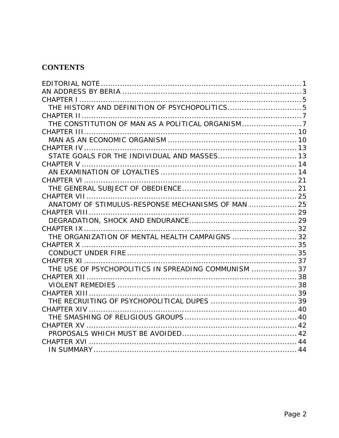### **CONTENTS**

| THE CONSTITUTION OF MAN AS A POLITICAL ORGANISM7     |  |
|------------------------------------------------------|--|
|                                                      |  |
|                                                      |  |
|                                                      |  |
|                                                      |  |
|                                                      |  |
|                                                      |  |
|                                                      |  |
|                                                      |  |
|                                                      |  |
| ANATOMY OF STIMULUS-RESPONSE MECHANISMS OF MAN  25   |  |
|                                                      |  |
|                                                      |  |
|                                                      |  |
| THE ORGANIZATION OF MENTAL HEALTH CAMPAIGNS  32      |  |
|                                                      |  |
|                                                      |  |
|                                                      |  |
| THE USE OF PSYCHOPOLITICS IN SPREADING COMMUNISM  37 |  |
|                                                      |  |
|                                                      |  |
|                                                      |  |
|                                                      |  |
|                                                      |  |
|                                                      |  |
|                                                      |  |
|                                                      |  |
|                                                      |  |
|                                                      |  |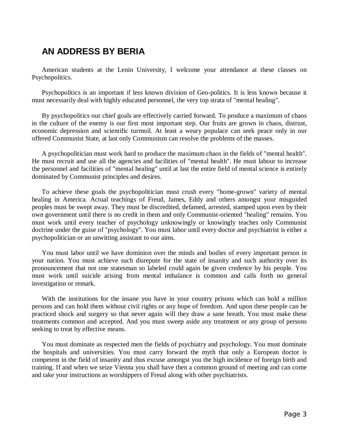## **AN ADDRESS BY BERIA**

American students at the Lenin University, I welcome your attendance at these classes on Psychopolitics.

Psychopolitics is an important if less known division of Geo-politics. It is less known because it must necessarily deal with highly educated personnel, the very top strata of "mental healing".

By psychopolitics our chief goals are effectively carried forward. To produce a maximum of chaos in the culture of the enemy is our first most important step. Our fruits are grown in chaos, distrust, economic depression and scientific turmoil. At least a weary populace can seek peace only in our offered Communist State, at last only Communism can resolve the problems of the masses.

A psychopolitician must work hard to produce the maximum chaos in the fields of "mental health". He must recruit and use all the agencies and facilities of "mental health". He must labour to increase the personnel and facilities of "mental healing" until at last the entire field of mental science is entirely dominated by Communist principles and desires.

To achieve these goals the psychopolitician must crush every "home-grown" variety of mental healing in America. Actual teachings of Freud, James, Eddy and others amongst your misguided peoples must be swept away. They must be discredited, defamed, arrested, stamped upon even by their own government until there is no credit in them and only Communist-oriented "healing" remains. You must work until every teacher of psychology unknowingly or knowingly teaches only Communist doctrine under the guise of "psychology". You must labor until every doctor and psychiatrist is either a psychopolitician or an unwitting assistant to our aims.

You must labor until we have dominion over the minds and bodies of every important person in your nation. You must achieve such disrepute for the state of insanity and such authority over its pronouncement that not one statesman so labeled could again be given credence by his people. You must work until suicide arising from mental imbalance is common and calls forth no general investigation or remark.

With the institutions for the insane you have in your country prisons which can hold a million persons and can hold them without civil rights or any hope of freedom. And upon these people can be practiced shock and surgery so that never again will they draw a sane breath. You must make these treatments common and accepted. And you must sweep aside any treatment or any group of persons seeking to treat by effective means.

You must dominate as respected men the fields of psychiatry and psychology. You must dominate the hospitals and universities. You must carry forward the myth that only a European doctor is competent in the field of insanity and thus excuse amongst you the high incidence of foreign birth and training. If and when we seize Vienna you shall have then a common ground of meeting and can come and take your instructions as worshippers of Freud along with other psychiatrists.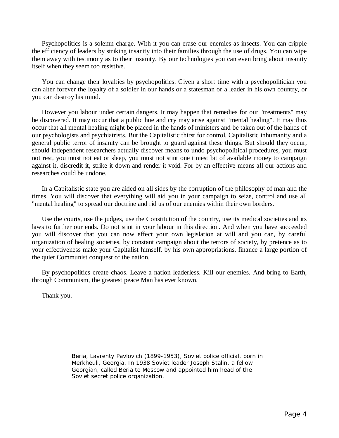Psychopolitics is a solemn charge. With it you can erase our enemies as insects. You can cripple the efficiency of leaders by striking insanity into their families through the use of drugs. You can wipe them away with testimony as to their insanity. By our technologies you can even bring about insanity itself when they seem too resistive.

You can change their loyalties by psychopolitics. Given a short time with a psychopolitician you can alter forever the loyalty of a soldier in our hands or a statesman or a leader in his own country, or you can destroy his mind.

However you labour under certain dangers. It may happen that remedies for our "treatments" may be discovered. It may occur that a public hue and cry may arise against "mental healing". It may thus occur that all mental healing might be placed in the hands of ministers and be taken out of the hands of our psychologists and psychiatrists. But the Capitalistic thirst for control, Capitalistic inhumanity and a general public terror of insanity can be brought to guard against these things. But should they occur, should independent researchers actually discover means to undo psychopolitical procedures, you must not rest, you must not eat or sleep, you must not stint one tiniest bit of available money to campaign against it, discredit it, strike it down and render it void. For by an effective means all our actions and researches could be undone.

In a Capitalistic state you are aided on all sides by the corruption of the philosophy of man and the times. You will discover that everything will aid you in your campaign to seize, control and use all "mental healing" to spread our doctrine and rid us of our enemies within their own borders.

Use the courts, use the judges, use the Constitution of the country, use its medical societies and its laws to further our ends. Do not stint in your labour in this direction. And when you have succeeded you will discover that you can now effect your own legislation at will and you can, by careful organization of healing societies, by constant campaign about the terrors of society, by pretence as to your effectiveness make your Capitalist himself, by his own appropriations, finance a large portion of the quiet Communist conquest of the nation.

By psychopolitics create chaos. Leave a nation leaderless. Kill our enemies. And bring to Earth, through Communism, the greatest peace Man has ever known.

Thank you.

*Beria, Lavrenty Pavlovich (1899-1953), Soviet police official, born in Merkheuli, Georgia. In 1938 Soviet leader Joseph Stalin, a fellow Georgian, called Beria to Moscow and appointed him head of the Soviet secret police organization.*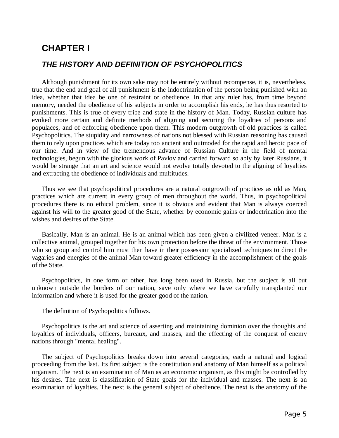## **CHAPTER I**

#### *THE HISTORY AND DEFINITION OF PSYCHOPOLITICS*

Although punishment for its own sake may not be entirely without recompense, it is, nevertheless, true that the end and goal of all punishment is the indoctrination of the person being punished with an idea, whether that idea be one of restraint or obedience. In that any ruler has, from time beyond memory, needed the obedience of his subjects in order to accomplish his ends, he has thus resorted to punishments. This is true of every tribe and state in the history of Man. Today, Russian culture has evoked more certain and definite methods of aligning and securing the loyalties of persons and populaces, and of enforcing obedience upon them. This modern outgrowth of old practices is called Psychopolitics. The stupidity and narrowness of nations not blessed with Russian reasoning has caused them to rely upon practices which are today too ancient and outmoded for the rapid and heroic pace of our time. And in view of the tremendous advance of Russian Culture in the field of mental technologies, begun with the glorious work of Pavlov and carried forward so ably by later Russians, it would be strange that an art and science would not evolve totally devoted to the aligning of loyalties and extracting the obedience of individuals and multitudes.

Thus we see that psychopolitical procedures are a natural outgrowth of practices as old as Man, practices which are current in every group of men throughout the world. Thus, in psychopolitical procedures there is no ethical problem, since it is obvious and evident that Man is always coerced against his will to the greater good of the State, whether by economic gains or indoctrination into the wishes and desires of the State.

Basically, Man is an animal. He is an animal which has been given a civilized veneer. Man is a collective animal, grouped together for his own protection before the threat of the environment. Those who so group and control him must then have in their possession specialized techniques to direct the vagaries and energies of the animal Man toward greater efficiency in the accomplishment of the goals of the State.

Psychopolitics, in one form or other, has long been used in Russia, but the subject is all but unknown outside the borders of our nation, save only where we have carefully transplanted our information and where it is used for the greater good of the nation.

The definition of Psychopolitics follows.

Psychopolitics is the art and science of asserting and maintaining dominion over the thoughts and loyalties of individuals, officers, bureaux, and masses, and the effecting of the conquest of enemy nations through "mental healing".

The subject of Psychopolitics breaks down into several categories, each a natural and logical proceeding from the last. Its first subject is the constitution and anatomy of Man himself as a political organism. The next is an examination of Man as an economic organism, as this might be controlled by his desires. The next is classification of State goals for the individual and masses. The next is an examination of loyalties. The next is the general subject of obedience. The next is the anatomy of the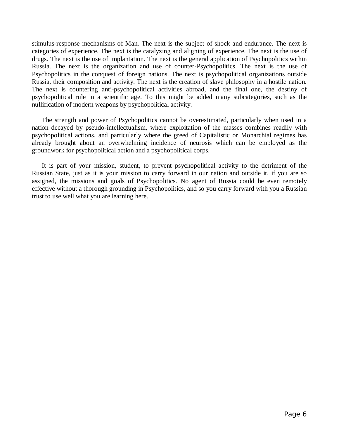stimulus-response mechanisms of Man. The next is the subject of shock and endurance. The next is categories of experience. The next is the catalyzing and aligning of experience. The next is the use of drugs. The next is the use of implantation. The next is the general application of Psychopolitics within Russia. The next is the organization and use of counter-Psychopolitics. The next is the use of Psychopolitics in the conquest of foreign nations. The next is psychopolitical organizations outside Russia, their composition and activity. The next is the creation of slave philosophy in a hostile nation. The next is countering anti-psychopolitical activities abroad, and the final one, the destiny of psychopolitical rule in a scientific age. To this might be added many subcategories, such as the nullification of modern weapons by psychopolitical activity.

The strength and power of Psychopolitics cannot be overestimated, particularly when used in a nation decayed by pseudo-intellectualism, where exploitation of the masses combines readily with psychopolitical actions, and particularly where the greed of Capitalistic or Monarchial regimes has already brought about an overwhelming incidence of neurosis which can be employed as the groundwork for psychopolitical action and a psychopolitical corps.

It is part of your mission, student, to prevent psychopolitical activity to the detriment of the Russian State, just as it is your mission to carry forward in our nation and outside it, if you are so assigned, the missions and goals of Psychopolitics. No agent of Russia could be even remotely effective without a thorough grounding in Psychopolitics, and so you carry forward with you a Russian trust to use well what you are learning here.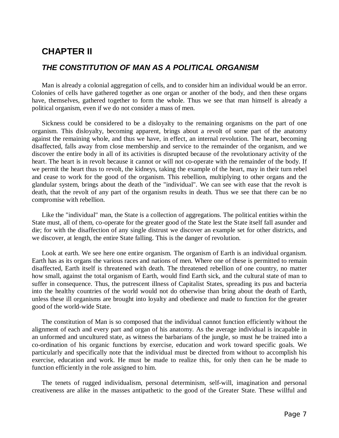#### **CHAPTER II**

#### *THE CONSTITUTION OF MAN AS A POLITICAL ORGANISM*

Man is already a colonial aggregation of cells, and to consider him an individual would be an error. Colonies of cells have gathered together as one organ or another of the body, and then these organs have, themselves, gathered together to form the whole. Thus we see that man himself is already a political organism, even if we do not consider a mass of men.

Sickness could be considered to be a disloyalty to the remaining organisms on the part of one organism. This disloyalty, becoming apparent, brings about a revolt of some part of the anatomy against the remaining whole, and thus we have, in effect, an internal revolution. The heart, becoming disaffected, falls away from close membership and service to the remainder of the organism, and we discover the entire body in all of its activities is disrupted because of the revolutionary activity of the heart. The heart is in revolt because it cannot or will not co-operate with the remainder of the body. If we permit the heart thus to revolt, the kidneys, taking the example of the heart, may in their turn rebel and cease to work for the good of the organism. This rebellion, multiplying to other organs and the glandular system, brings about the death of the "individual". We can see with ease that the revolt is death, that the revolt of any part of the organism results in death. Thus we see that there can be no compromise with rebellion.

Like the "individual" man, the State is a collection of aggregations. The political entities within the State must, all of them, co-operate for the greater good of the State lest the State itself fall asunder and die; for with the disaffection of any single distrust we discover an example set for other districts, and we discover, at length, the entire State falling. This is the danger of revolution.

Look at earth. We see here one entire organism. The organism of Earth is an individual organism. Earth has as its organs the various races and nations of men. Where one of these is permitted to remain disaffected, Earth itself is threatened with death. The threatened rebellion of one country, no matter how small, against the total organism of Earth, would find Earth sick, and the cultural state of man to suffer in consequence. Thus, the putrescent illness of Capitalist States, spreading its pus and bacteria into the healthy countries of the world would not do otherwise than bring about the death of Earth, unless these ill organisms are brought into loyalty and obedience and made to function for the greater good of the world-wide State.

The constitution of Man is so composed that the individual cannot function efficiently without the alignment of each and every part and organ of his anatomy. As the average individual is incapable in an unformed and uncultured state, as witness the barbarians of the jungle, so must he be trained into a co-ordination of his organic functions by exercise, education and work toward specific goals. We particularly and specifically note that the individual must be directed from without to accomplish his exercise, education and work. He must be made to realize this, for only then can he be made to function efficiently in the role assigned to him.

The tenets of rugged individualism, personal determinism, self-will, imagination and personal creativeness are alike in the masses antipathetic to the good of the Greater State. These willful and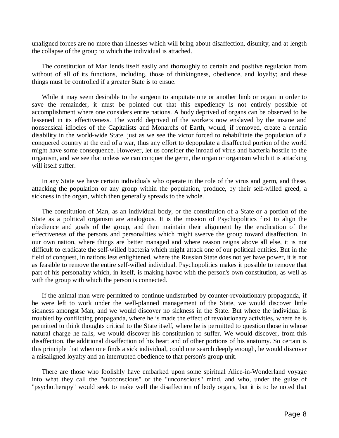unaligned forces are no more than illnesses which will bring about disaffection, disunity, and at length the collapse of the group to which the individual is attached.

The constitution of Man lends itself easily and thoroughly to certain and positive regulation from without of all of its functions, including, those of thinkingness, obedience, and loyalty; and these things must be controlled if a greater State is to ensue.

While it may seem desirable to the surgeon to amputate one or another limb or organ in order to save the remainder, it must be pointed out that this expediency is not entirely possible of accomplishment where one considers entire nations. A body deprived of organs can be observed to be lessened in its effectiveness. The world deprived of the workers now enslaved by the insane and nonsensical idiocies of the Capitalists and Monarchs of Earth, would, if removed, create a certain disability in the world-wide State. just as we see the victor forced to rehabilitate the population of a conquered country at the end of a war, thus any effort to depopulate a disaffected portion of the world might have some consequence. However, let us consider the inroad of virus and bacteria hostile to the organism, and we see that unless we can conquer the germ, the organ or organism which it is attacking will itself suffer.

In any State we have certain individuals who operate in the role of the virus and germ, and these, attacking the population or any group within the population, produce, by their self-willed greed, a sickness in the organ, which then generally spreads to the whole.

The constitution of Man, as an individual body, or the constitution of a State or a portion of the State as a political organism are analogous. It is the mission of Psychopolitics first to align the obedience and goals of the group, and then maintain their alignment by the eradication of the effectiveness of the persons and personalities which might swerve the group toward disaffection. In our own nation, where things are better managed and where reason reigns above all else, it is not difficult to eradicate the self-willed bacteria which might attack one of our political entities. But in the field of conquest, in nations less enlightened, where the Russian State does not yet have power, it is not as feasible to remove the entire self-willed individual. Psychopolitics makes it possible to remove that part of his personality which, in itself, is making havoc with the person's own constitution, as well as with the group with which the person is connected.

If the animal man were permitted to continue undisturbed by counter-revolutionary propaganda, if he were left to work under the well-planned management of the State, we would discover little sickness amongst Man, and we would discover no sickness in the State. But where the individual is troubled by conflicting propaganda, where he is made the effect of revolutionary activities, where he is permitted to think thoughts critical to the State itself, where he is permitted to question those in whose natural charge he falls, we would discover his constitution to suffer. We would discover, from this disaffection, the additional disaffection of his heart and of other portions of his anatomy. So certain is this principle that when one finds a sick individual, could one search deeply enough, he would discover a misaligned loyalty and an interrupted obedience to that person's group unit.

There are those who foolishly have embarked upon some spiritual Alice-in-Wonderland voyage into what they call the "subconscious" or the "unconscious" mind, and who, under the guise of "psychotherapy" would seek to make well the disaffection of body organs, but it is to be noted that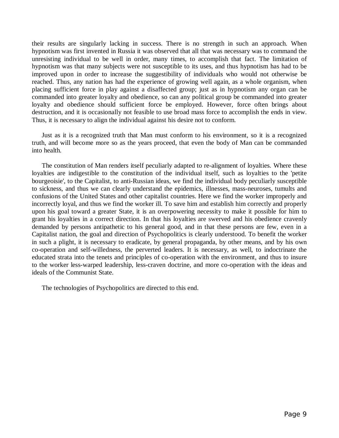their results are singularly lacking in success. There is no strength in such an approach. When hypnotism was first invented in Russia it was observed that all that was necessary was to command the unresisting individual to be well in order, many times, to accomplish that fact. The limitation of hypnotism was that many subjects were not susceptible to its uses, and thus hypnotism has had to be improved upon in order to increase the suggestibility of individuals who would not otherwise be reached. Thus, any nation has had the experience of growing well again, as a whole organism, when placing sufficient force in play against a disaffected group; just as in hypnotism any organ can be commanded into greater loyalty and obedience, so can any political group be commanded into greater loyalty and obedience should sufficient force be employed. However, force often brings about destruction, and it is occasionally not feasible to use broad mass force to accomplish the ends in view. Thus, it is necessary to align the individual against his desire not to conform.

Just as it is a recognized truth that Man must conform to his environment, so it is a recognized truth, and will become more so as the years proceed, that even the body of Man can be commanded into health.

The constitution of Man renders itself peculiarly adapted to re-alignment of loyalties. Where these loyalties are indigestible to the constitution of the individual itself, such as loyalties to the 'petite bourgeoisie', to the Capitalist, to anti-Russian ideas, we find the individual body peculiarly susceptible to sickness, and thus we can clearly understand the epidemics, illnesses, mass-neuroses, tumults and confusions of the United States and other capitalist countries. Here we find the worker improperly and incorrectly loyal, and thus we find the worker ill. To save him and establish him correctly and properly upon his goal toward a greater State, it is an overpowering necessity to make it possible for him to grant his loyalties in a correct direction. In that his loyalties are swerved and his obedience cravenly demanded by persons antipathetic to his general good, and in that these persons are few, even in a Capitalist nation, the goal and direction of Psychopolitics is clearly understood. To benefit the worker in such a plight, it is necessary to eradicate, by general propaganda, by other means, and by his own co-operation and self-willedness, the perverted leaders. It is necessary, as well, to indoctrinate the educated strata into the tenets and principles of co-operation with the environment, and thus to insure to the worker less-warped leadership, less-craven doctrine, and more co-operation with the ideas and ideals of the Communist State.

The technologies of Psychopolitics are directed to this end.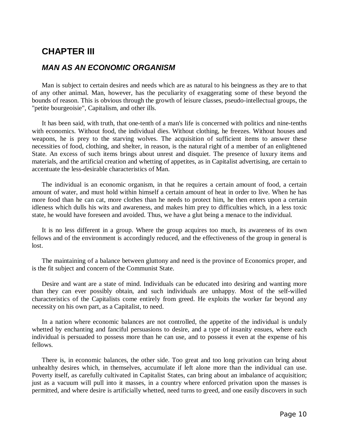#### **CHAPTER III**

#### *MAN AS AN ECONOMIC ORGANISM*

Man is subject to certain desires and needs which are as natural to his beingness as they are to that of any other animal. Man, however, has the peculiarity of exaggerating some of these beyond the bounds of reason. This is obvious through the growth of leisure classes, pseudo-intellectual groups, the "petite bourgeoisie", Capitalism, and other ills.

It has been said, with truth, that one-tenth of a man's life is concerned with politics and nine-tenths with economics. Without food, the individual dies. Without clothing, he freezes. Without houses and weapons, he is prey to the starving wolves. The acquisition of sufficient items to answer these necessities of food, clothing, and shelter, in reason, is the natural right of a member of an enlightened State. An excess of such items brings about unrest and disquiet. The presence of luxury items and materials, and the artificial creation and whetting of appetites, as in Capitalist advertising, are certain to accentuate the less-desirable characteristics of Man.

The individual is an economic organism, in that he requires a certain amount of food, a certain amount of water, and must hold within himself a certain amount of heat in order to live. When he has more food than he can cat, more clothes than he needs to protect him, he then enters upon a certain idleness which dulls his wits and awareness, and makes him prey to difficulties which, in a less toxic state, he would have foreseen and avoided. Thus, we have a glut being a menace to the individual.

It is no less different in a group. Where the group acquires too much, its awareness of its own fellows and of the environment is accordingly reduced, and the effectiveness of the group in general is lost.

The maintaining of a balance between gluttony and need is the province of Economics proper, and is the fit subject and concern of the Communist State.

Desire and want are a state of mind. Individuals can be educated into desiring and wanting more than they can ever possibly obtain, and such individuals are unhappy. Most of the self-willed characteristics of the Capitalists come entirely from greed. He exploits the worker far beyond any necessity on his own part, as a Capitalist, to need.

In a nation where economic balances are not controlled, the appetite of the individual is unduly whetted by enchanting and fanciful persuasions to desire, and a type of insanity ensues, where each individual is persuaded to possess more than he can use, and to possess it even at the expense of his fellows.

There is, in economic balances, the other side. Too great and too long privation can bring about unhealthy desires which, in themselves, accumulate if left alone more than the individual can use. Poverty itself, as carefully cultivated in Capitalist States, can bring about an imbalance of acquisition; just as a vacuum will pull into it masses, in a country where enforced privation upon the masses is permitted, and where desire is artificially whetted, need turns to greed, and one easily discovers in such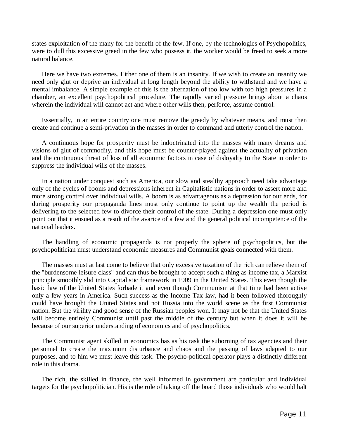states exploitation of the many for the benefit of the few. If one, by the technologies of Psychopolitics, were to dull this excessive greed in the few who possess it, the worker would be freed to seek a more natural balance.

Here we have two extremes. Either one of them is an insanity. If we wish to create an insanity we need only glut or deprive an individual at long length beyond the ability to withstand and we have a mental imbalance. A simple example of this is the alternation of too low with too high pressures in a chamber, an excellent psychopolitical procedure. The rapidly varied pressure brings about a chaos wherein the individual will cannot act and where other wills then, perforce, assume control.

Essentially, in an entire country one must remove the greedy by whatever means, and must then create and continue a semi-privation in the masses in order to command and utterly control the nation.

A continuous hope for prosperity must be indoctrinated into the masses with many dreams and visions of glut of commodity, and this hope must be counter-played against the actuality of privation and the continuous threat of loss of all economic factors in case of disloyalty to the State in order to suppress the individual wills of the masses.

In a nation under conquest such as America, our slow and stealthy approach need take advantage only of the cycles of booms and depressions inherent in Capitalistic nations in order to assert more and more strong control over individual wills. A boom is as advantageous as a depression for our ends, for during prosperity our propaganda lines must only continue to point up the wealth the period is delivering to the selected few to divorce their control of the state. During a depression one must only point out that it ensued as a result of the avarice of a few and the general political incompetence of the national leaders.

The handling of economic propaganda is not properly the sphere of psychopolitics, but the psychopolitician must understand economic measures and Communist goals connected with them.

The masses must at last come to believe that only excessive taxation of the rich can relieve them of the "burdensome leisure class" and can thus be brought to accept such a thing as income tax, a Marxist principle smoothly slid into Capitalistic framework in 1909 in the United States. This even though the basic law of the United States forbade it and even though Communism at that time had been active only a few years in America. Such success as the Income Tax law, had it been followed thoroughly could have brought the United States and not Russia into the world scene as the first Communist nation. But the virility and good sense of the Russian peoples won. It may not be that the United States will become entirely Communist until past the middle of the century but when it does it will be because of our superior understanding of economics and of psychopolitics.

The Communist agent skilled in economics has as his task the suborning of tax agencies and their personnel to create the maximum disturbance and chaos and the passing of laws adapted to our purposes, and to him we must leave this task. The psycho-political operator plays a distinctly different role in this drama.

The rich, the skilled in finance, the well informed in government are particular and individual targets for the psychopolitician. His is the role of taking off the board those individuals who would halt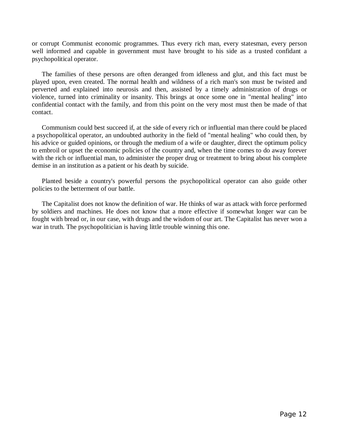or corrupt Communist economic programmes. Thus every rich man, every statesman, every person well informed and capable in government must have brought to his side as a trusted confidant a psychopolitical operator.

The families of these persons are often deranged from idleness and glut, and this fact must be played upon, even created. The normal health and wildness of a rich man's son must be twisted and perverted and explained into neurosis and then, assisted by a timely administration of drugs or violence, turned into criminality or insanity. This brings at once some one in "mental healing" into confidential contact with the family, and from this point on the very most must then be made of that contact.

Communism could best succeed if, at the side of every rich or influential man there could be placed a psychopolitical operator, an undoubted authority in the field of "mental healing" who could then, by his advice or guided opinions, or through the medium of a wife or daughter, direct the optimum policy to embroil or upset the economic policies of the country and, when the time comes to do away forever with the rich or influential man, to administer the proper drug or treatment to bring about his complete demise in an institution as a patient or his death by suicide.

Planted beside a country's powerful persons the psychopolitical operator can also guide other policies to the betterment of our battle.

The Capitalist does not know the definition of war. He thinks of war as attack with force performed by soldiers and machines. He does not know that a more effective if somewhat longer war can be fought with bread or, in our case, with drugs and the wisdom of our art. The Capitalist has never won a war in truth. The psychopolitician is having little trouble winning this one.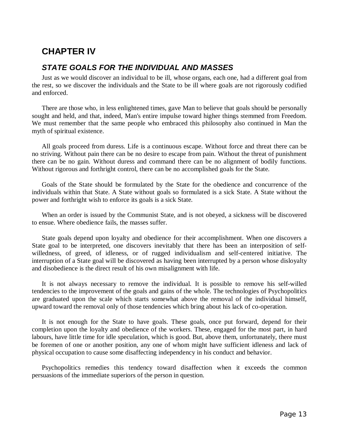## **CHAPTER IV**

#### *STATE GOALS FOR THE INDIVIDUAL AND MASSES*

Just as we would discover an individual to be ill, whose organs, each one, had a different goal from the rest, so we discover the individuals and the State to be ill where goals are not rigorously codified and enforced.

There are those who, in less enlightened times, gave Man to believe that goals should be personally sought and held, and that, indeed, Man's entire impulse toward higher things stemmed from Freedom. We must remember that the same people who embraced this philosophy also continued in Man the myth of spiritual existence.

All goals proceed from duress. Life is a continuous escape. Without force and threat there can be no striving. Without pain there can be no desire to escape from pain. Without the threat of punishment there can be no gain. Without duress and command there can be no alignment of bodily functions. Without rigorous and forthright control, there can be no accomplished goals for the State.

Goals of the State should be formulated by the State for the obedience and concurrence of the individuals within that State. A State without goals so formulated is a sick State. A State without the power and forthright wish to enforce its goals is a sick State.

When an order is issued by the Communist State, and is not obeyed, a sickness will be discovered to ensue. Where obedience fails, the masses suffer.

State goals depend upon loyalty and obedience for their accomplishment. When one discovers a State goal to be interpreted, one discovers inevitably that there has been an interposition of selfwilledness, of greed, of idleness, or of rugged individualism and self-centered initiative. The interruption of a State goal will be discovered as having been interrupted by a person whose disloyalty and disobedience is the direct result of his own misalignment with life.

It is not always necessary to remove the individual. It is possible to remove his self-willed tendencies to the improvement of the goals and gains of the whole. The technologies of Psychopolitics are graduated upon the scale which starts somewhat above the removal of the individual himself, upward toward the removal only of those tendencies which bring about his lack of co-operation.

It is not enough for the State to have goals. These goals, once put forward, depend for their completion upon the loyalty and obedience of the workers. These, engaged for the most part, in hard labours, have little time for idle speculation, which is good. But, above them, unfortunately, there must be foremen of one or another position, any one of whom might have sufficient idleness and lack of physical occupation to cause some disaffecting independency in his conduct and behavior.

Psychopolitics remedies this tendency toward disaffection when it exceeds the common persuasions of the immediate superiors of the person in question.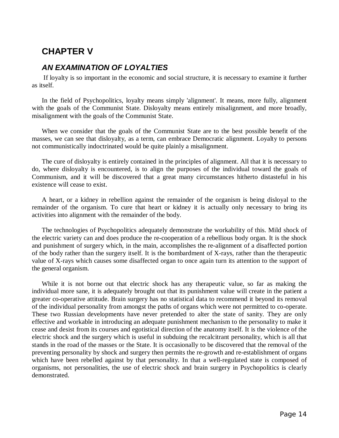## **CHAPTER V**

#### *AN EXAMINATION OF LOYALTIES*

If loyalty is so important in the economic and social structure, it is necessary to examine it further as itself.

In the field of Psychopolitics, loyalty means simply 'alignment'. It means, more fully, alignment with the goals of the Communist State. Disloyalty means entirely misalignment, and more broadly, misalignment with the goals of the Communist State.

When we consider that the goals of the Communist State are to the best possible benefit of the masses, we can see that disloyalty, as a term, can embrace Democratic alignment. Loyalty to persons not communistically indoctrinated would be quite plainly a misalignment.

The cure of disloyalty is entirely contained in the principles of alignment. All that it is necessary to do, where disloyalty is encountered, is to align the purposes of the individual toward the goals of Communism, and it will be discovered that a great many circumstances hitherto distasteful in his existence will cease to exist.

A heart, or a kidney in rebellion against the remainder of the organism is being disloyal to the remainder of the organism. To cure that heart or kidney it is actually only necessary to bring its activities into alignment with the remainder of the body.

The technologies of Psychopolitics adequately demonstrate the workability of this. Mild shock of the electric variety can and does produce the re-cooperation of a rebellious body organ. It is the shock and punishment of surgery which, in the main, accomplishes the re-alignment of a disaffected portion of the body rather than the surgery itself. It is the bombardment of X-rays, rather than the therapeutic value of X-rays which causes some disaffected organ to once again turn its attention to the support of the general organism.

While it is not borne out that electric shock has any therapeutic value, so far as making the individual more sane, it is adequately brought out that its punishment value will create in the patient a greater co-operative attitude. Brain surgery has no statistical data to recommend it beyond its removal of the individual personality from amongst the paths of organs which were not permitted to co-operate. These two Russian developments have never pretended to alter the state of sanity. They are only effective and workable in introducing an adequate punishment mechanism to the personality to make it cease and desist from its courses and egotistical direction of the anatomy itself. It is the violence of the electric shock and the surgery which is useful in subduing the recalcitrant personality, which is all that stands in the road of the masses or the State. It is occasionally to be discovered that the removal of the preventing personality by shock and surgery then permits the re-growth and re-establishment of organs which have been rebelled against by that personality. In that a well-regulated state is composed of organisms, not personalities, the use of electric shock and brain surgery in Psychopolitics is clearly demonstrated.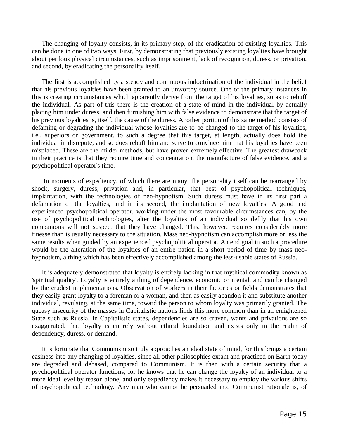The changing of loyalty consists, in its primary step, of the eradication of existing loyalties. This can be done in one of two ways. First, by demonstrating that previously existing loyalties have brought about perilous physical circumstances, such as imprisonment, lack of recognition, duress, or privation, and second, by eradicating the personality itself.

The first is accomplished by a steady and continuous indoctrination of the individual in the belief that his previous loyalties have been granted to an unworthy source. One of the primary instances in this is creating circumstances which apparently derive from the target of his loyalties, so as to rebuff the individual. As part of this there is the creation of a state of mind in the individual by actually placing him under duress, and then furnishing him with false evidence to demonstrate that the target of his previous loyalties is, itself, the cause of the duress. Another portion of this same method consists of defaming or degrading the individual whose loyalties are to be changed to the target of his loyalties, i.e., superiors or government, to such a degree that this target, at length, actually does hold the individual in disrepute, and so does rebuff him and serve to convince him that his loyalties have been misplaced. These are the milder methods, but have proven extremely effective. The greatest drawback in their practice is that they require time and concentration, the manufacture of false evidence, and a psychopolitical operator's time.

In moments of expediency, of which there are many, the personality itself can be rearranged by shock, surgery, duress, privation and, in particular, that best of psychopolitical techniques, implantation, with the technologies of neo-hypnotism. Such duress must have in its first part a defamation of the loyalties, and in its second, the implantation of new loyalties. A good and experienced psychopolitical operator, working under the most favourable circumstances can, by the use of psychopolitical technologies, alter the loyalties of an individual so deftly that his own companions will not suspect that they have changed. This, however, requires considerably more finesse than is usually necessary to the situation. Mass neo-hypnotism can accomplish more or less the same results when guided by an experienced psychopolitical operator. An end goal in such a procedure would be the alteration of the loyalties of an entire nation in a short period of time by mass neohypnotism, a thing which has been effectively accomplished among the less-usable states of Russia.

It is adequately demonstrated that loyalty is entirely lacking in that mythical commodity known as 'spiritual quality'. Loyalty is entirely a thing of dependence, economic or mental, and can be changed by the crudest implementations. Observation of workers in their factories or fields demonstrates that they easily grant loyalty to a foreman or a woman, and then as easily abandon it and substitute another individual, revulsing, at the same time, toward the person to whom loyalty was primarily granted. The queasy insecurity of the masses in Capitalistic nations finds this more common than in an enlightened State such as Russia. In Capitalistic states, dependencies are so craven, wants and privations are so exaggerated, that loyalty is entirely without ethical foundation and exists only in the realm of dependency, duress, or demand.

It is fortunate that Communism so truly approaches an ideal state of mind, for this brings a certain easiness into any changing of loyalties, since all other philosophies extant and practiced on Earth today are degraded and debased, compared to Communism. It is then with a certain security that a psychopolitical operator functions, for he knows that he can change the loyalty of an individual to a more ideal level by reason alone, and only expediency makes it necessary to employ the various shifts of psychopolitical technology. Any man who cannot be persuaded into Communist rationale is, of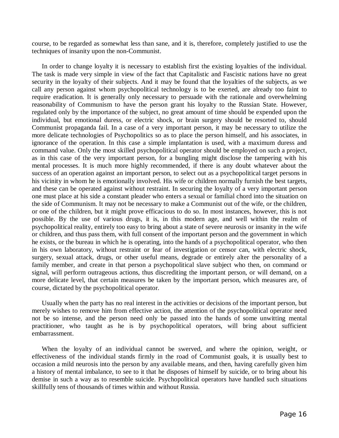course, to be regarded as somewhat less than sane, and it is, therefore, completely justified to use the techniques of insanity upon the non-Communist.

In order to change loyalty it is necessary to establish first the existing loyalties of the individual. The task is made very simple in view of the fact that Capitalistic and Fascistic nations have no great security in the loyalty of their subjects. And it may be found that the loyalties of the subjects, as we call any person against whom psychopolitical technology is to be exerted, are already too faint to require eradication. It is generally only necessary to persuade with the rationale and overwhelming reasonability of Communism to have the person grant his loyalty to the Russian State. However, regulated only by the importance of the subject, no great amount of time should be expended upon the individual, but emotional duress, or electric shock, or brain surgery should be resorted to, should Communist propaganda fail. In a case of a very important person, it may be necessary to utilize the more delicate technologies of Psychopolitics so as to place the person himself, and his associates, in ignorance of the operation. In this case a simple implantation is used, with a maximum duress and command value. Only the most skilled psychopolitical operator should be employed on such a project, as in this case of the very important person, for a bungling might disclose the tampering with his mental processes. It is much more highly recommended, if there is any doubt whatever about the success of an operation against an important person, to select out as a psychopolitical target persons in his vicinity in whom he is emotionally involved. His wife or children normally furnish the best targets, and these can be operated against without restraint. In securing the loyalty of a very important person one must place at his side a constant pleader who enters a sexual or familial chord into the situation on the side of Communism. It may not be necessary to make a Communist out of the wife, or the children, or one of the children, but it might prove efficacious to do so. In most instances, however, this is not possible. By the use of various drugs, it is, in this modern age, and well within the realm of psychopolitical reality, entirely too easy to bring about a state of severe neurosis or insanity in the wife or children, and thus pass them, with full consent of the important person and the government in which he exists, or the bureau in which he is operating, into the hands of a psychopolitical operator, who then in his own laboratory, without restraint or fear of investigation or censor can, with electric shock, surgery, sexual attack, drugs, or other useful means, degrade or entirely alter the personality of a family member, and create in that person a psychopolitical slave subject who then, on command or signal, will perform outrageous actions, thus discrediting the important person, or will demand, on a more delicate level, that certain measures be taken by the important person, which measures are, of course, dictated by the psychopolitical operator.

Usually when the party has no real interest in the activities or decisions of the important person, but merely wishes to remove him from effective action, the attention of the psychopolitical operator need not be so intense, and the person need only be passed into the hands of some unwitting mental practitioner, who taught as he is by psychopolitical operators, will bring about sufficient embarrassment.

When the loyalty of an individual cannot be swerved, and where the opinion, weight, or effectiveness of the individual stands firmly in the road of Communist goals, it is usually best to occasion a mild neurosis into the person by any available means, and then, having carefully given him a history of mental imbalance, to see to it that he disposes of himself by suicide, or to bring about his demise in such a way as to resemble suicide. Psychopolitical operators have handled such situations skillfully tens of thousands of times within and without Russia.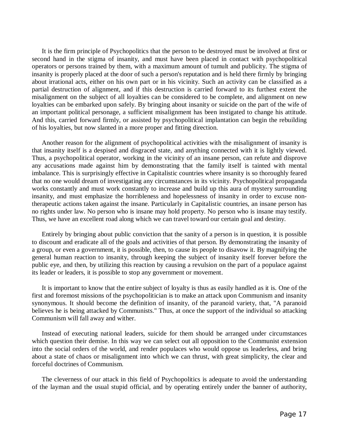It is the firm principle of Psychopolitics that the person to be destroyed must be involved at first or second hand in the stigma of insanity, and must have been placed in contact with psychopolitical operators or persons trained by them, with a maximum amount of tumult and publicity. The stigma of insanity is properly placed at the door of such a person's reputation and is held there firmly by bringing about irrational acts, either on his own part or in his vicinity. Such an activity can be classified as a partial destruction of alignment, and if this destruction is carried forward to its furthest extent the misalignment on the subject of all loyalties can be considered to be complete, and alignment on new loyalties can be embarked upon safely. By bringing about insanity or suicide on the part of the wife of an important political personage, a sufficient misalignment has been instigated to change his attitude. And this, carried forward firmly, or assisted by psychopolitical implantation can begin the rebuilding of his loyalties, but now slanted in a more proper and fitting direction.

Another reason for the alignment of psychopolitical activities with the misalignment of insanity is that insanity itself is a despised and disgraced state, and anything connected with it is lightly viewed. Thus, a psychopolitical operator, working in the vicinity of an insane person, can refute and disprove any accusations made against him by demonstrating that the family itself is tainted with mental imbalance. This is surprisingly effective in Capitalistic countries where insanity is so thoroughly feared that no one would dream of investigating any circumstances in its vicinity. Psychopolitical propaganda works constantly and must work constantly to increase and build up this aura of mystery surrounding insanity, and must emphasize the horribleness and hopelessness of insanity in order to excuse nontherapeutic actions taken against the insane. Particularly in Capitalistic countries, an insane person has no rights under law. No person who is insane may hold property. No person who is insane may testify. Thus, we have an excellent road along which we can travel toward our certain goal and destiny.

Entirely by bringing about public conviction that the sanity of a person is in question, it is possible to discount and eradicate all of the goals and activities of that person. By demonstrating the insanity of a group, or even a government, it is possible, then, to cause its people to disavow it. By magnifying the general human reaction to insanity, through keeping the subject of insanity itself forever before the public eye, and then, by utilizing this reaction by causing a revulsion on the part of a populace against its leader or leaders, it is possible to stop any government or movement.

It is important to know that the entire subject of loyalty is thus as easily handled as it is. One of the first and foremost missions of the psychopolitician is to make an attack upon Communism and insanity synonymous. It should become the definition of insanity, of the paranoid variety, that, "A paranoid believes he is being attacked by Communists." Thus, at once the support of the individual so attacking Communism will fall away and wither.

Instead of executing national leaders, suicide for them should be arranged under circumstances which question their demise. In this way we can select out all opposition to the Communist extension into the social orders of the world, and render populaces who would oppose us leaderless, and bring about a state of chaos or misalignment into which we can thrust, with great simplicity, the clear and forceful doctrines of Communism.

The cleverness of our attack in this field of Psychopolitics is adequate to avoid the understanding of the layman and the usual stupid official, and by operating entirely under the banner of authority,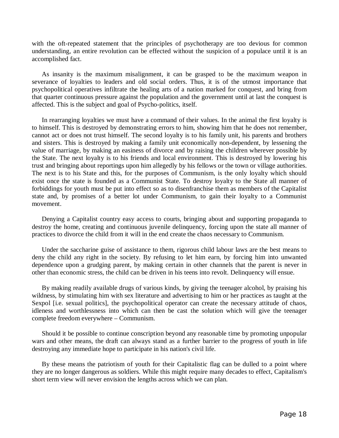with the oft-repeated statement that the principles of psychotherapy are too devious for common understanding, an entire revolution can be effected without the suspicion of a populace until it is an accomplished fact.

As insanity is the maximum misalignment, it can be grasped to be the maximum weapon in severance of loyalties to leaders and old social orders. Thus, it is of the utmost importance that psychopolitical operatives infiltrate the healing arts of a nation marked for conquest, and bring from that quarter continuous pressure against the population and the government until at last the conquest is affected. This is the subject and goal of Psycho-politics, itself.

In rearranging loyalties we must have a command of their values. In the animal the first loyalty is to himself. This is destroyed by demonstrating errors to him, showing him that he does not remember, cannot act or does not trust himself. The second loyalty is to his family unit, his parents and brothers and sisters. This is destroyed by making a family unit economically non-dependent, by lessening the value of marriage, by making an easiness of divorce and by raising the children wherever possible by the State. The next loyalty is to his friends and local environment. This is destroyed by lowering his trust and bringing about reportings upon him allegedly by his fellows or the town or village authorities. The next is to his State and this, for the purposes of Communism, is the only loyalty which should exist once the state is founded as a Communist State. To destroy loyalty to the State all manner of forbiddings for youth must be put into effect so as to disenfranchise them as members of the Capitalist state and, by promises of a better lot under Communism, to gain their loyalty to a Communist movement.

Denying a Capitalist country easy access to courts, bringing about and supporting propaganda to destroy the home, creating and continuous juvenile delinquency, forcing upon the state all manner of practices to divorce the child from it will in the end create the chaos necessary to Communism.

Under the saccharine guise of assistance to them, rigorous child labour laws are the best means to deny the child any right in the society. By refusing to let him earn, by forcing him into unwanted dependence upon a grudging parent, by making certain in other channels that the parent is never in other than economic stress, the child can be driven in his teens into revolt. Delinquency will ensue.

By making readily available drugs of various kinds, by giving the teenager alcohol, by praising his wildness, by stimulating him with sex literature and advertising to him or her practices as taught at the Sexpol [i.e. sexual politics], the psychopolitical operator can create the necessary attitude of chaos, idleness and worthlessness into which can then be cast the solution which will give the teenager complete freedom everywhere – Communism.

Should it be possible to continue conscription beyond any reasonable time by promoting unpopular wars and other means, the draft can always stand as a further barrier to the progress of youth in life destroying any immediate hope to participate in his nation's civil life.

By these means the patriotism of youth for their Capitalistic flag can be dulled to a point where they are no longer dangerous as soldiers. While this might require many decades to effect, Capitalism's short term view will never envision the lengths across which we can plan.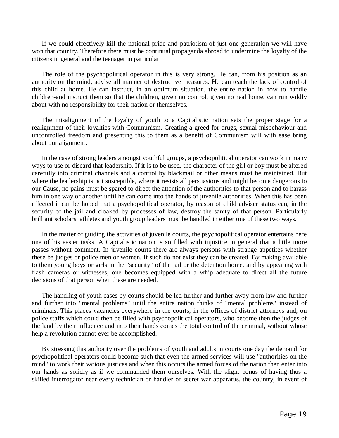If we could effectively kill the national pride and patriotism of just one generation we will have won that country. Therefore there must be continual propaganda abroad to undermine the loyalty of the citizens in general and the teenager in particular.

The role of the psychopolitical operator in this is very strong. He can, from his position as an authority on the mind, advise all manner of destructive measures. He can teach the lack of control of this child at home. He can instruct, in an optimum situation, the entire nation in how to handle children-and instruct them so that the children, given no control, given no real home, can run wildly about with no responsibility for their nation or themselves.

The misalignment of the loyalty of youth to a Capitalistic nation sets the proper stage for a realignment of their loyalties with Communism. Creating a greed for drugs, sexual misbehaviour and uncontrolled freedom and presenting this to them as a benefit of Communism will with ease bring about our alignment.

In the case of strong leaders amongst youthful groups, a psychopolitical operator can work in many ways to use or discard that leadership. If it is to be used, the character of the girl or boy must be altered carefully into criminal channels and a control by blackmail or other means must be maintained. But where the leadership is not susceptible, where it resists all persuasions and might become dangerous to our Cause, no pains must be spared to direct the attention of the authorities to that person and to harass him in one way or another until he can come into the hands of juvenile authorities. When this has been effected it can be hoped that a psychopolitical operator, by reason of child adviser status can, in the security of the jail and cloaked by processes of law, destroy the sanity of that person. Particularly brilliant scholars, athletes and youth group leaders must be handled in either one of these two ways.

In the matter of guiding the activities of juvenile courts, the psychopolitical operator entertains here one of his easier tasks. A Capitalistic nation is so filled with injustice in general that a little more passes without comment. In juvenile courts there are always persons with strange appetites whether these be judges or police men or women. If such do not exist they can be created. By making available to them young boys or girls in the "security" of the jail or the detention home, and by appearing with flash cameras or witnesses, one becomes equipped with a whip adequate to direct all the future decisions of that person when these are needed.

The handling of youth cases by courts should be led further and further away from law and further and further into "mental problems" until the entire nation thinks of "mental problems" instead of criminals. This places vacancies everywhere in the courts, in the offices of district attorneys and, on police staffs which could then be filled with psychopolitical operators, who become then the judges of the land by their influence and into their hands comes the total control of the criminal, without whose help a revolution cannot ever be accomplished.

By stressing this authority over the problems of youth and adults in courts one day the demand for psychopolitical operators could become such that even the armed services will use "authorities on the mind" to work their various justices and when this occurs the armed forces of the nation then enter into our hands as solidly as if we commanded them ourselves. With the slight bonus of having thus a skilled interrogator near every technician or handler of secret war apparatus, the country, in event of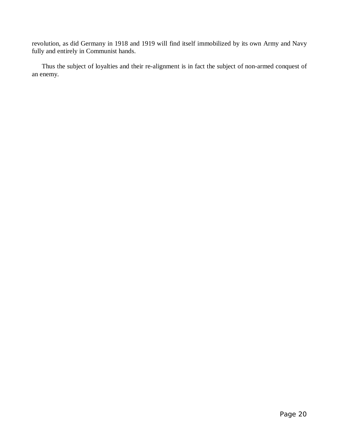revolution, as did Germany in 1918 and 1919 will find itself immobilized by its own Army and Navy fully and entirely in Communist hands.

Thus the subject of loyalties and their re-alignment is in fact the subject of non-armed conquest of an enemy.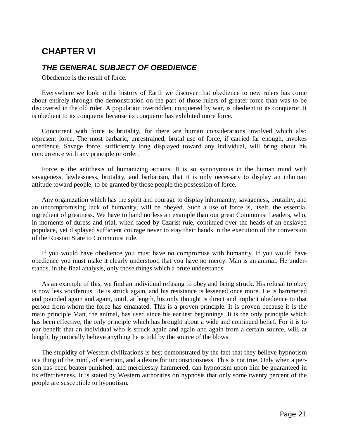## **CHAPTER VI**

#### *THE GENERAL SUBJECT OF OBEDIENCE*

Obedience is the result of force.

Everywhere we look in the history of Earth we discover that obedience to new rulers has come about entirely through the demonstration on the part of those rulers of greater force than was to be discovered in the old ruler. A population overridden, conquered by war, is obedient to its conqueror. It is obedient to its conqueror because its conqueror has exhibited more force.

Concurrent with force is brutality, for there are human considerations involved which also represent force. The most barbaric, unrestrained, brutal use of force, if carried far enough, invokes obedience. Savage force, sufficiently long displayed toward any individual, will bring about his concurrence with any principle or order.

Force is the antithesis of humanizing actions. It is so synonymous in the human mind with savageness, lawlessness, brutality, and barbarism, that it is only necessary to display an inhuman attitude toward people, to be granted by those people the possession of force.

Any organization which has the spirit and courage to display inhumanity, savageness, brutality, and an uncompromising lack of humanity, will be obeyed. Such a use of force is, itself, the essential ingredient of greatness. We have to hand no less an example than our great Communist Leaders, who, in moments of duress and trial, when faced by Czarist rule, continued over the heads of an enslaved populace, yet displayed sufficient courage never to stay their hands in the execution of the conversion of the Russian State to Communist rule.

If you would have obedience you must have no compromise with humanity. If you would have obedience you must make it clearly understood that you have no mercy. Man is an animal. He understands, in the final analysis, only those things which a brute understands.

As an example of this, we find an individual refusing to obey and being struck. His refusal to obey is now less vociferous. He is struck again, and his resistance is lessened once more. He is hammered and pounded again and again, until, at length, his only thought is direct and implicit obedience to that person from whom the force has emanated. This is a proven principle. It is proven because it is the main principle Man, the animal, has used since his earliest beginnings. It is the only principle which has been effective, the only principle which has brought about a wide and continued belief. For it is to our benefit that an individual who is struck again and again and again from a certain source, will, at length, hypnotically believe anything he is told by the source of the blows.

The stupidity of Western civilizations is best demonstrated by the fact that they believe hypnotism is a thing of the mind, of attention, and a desire for unconsciousness. This is not true. Only when a person has been beaten punished, and mercilessly hammered, can hypnotism upon him be guaranteed in its effectiveness. It is stated by Western authorities on hypnosis that only some twenty percent of the people are susceptible to hypnotism.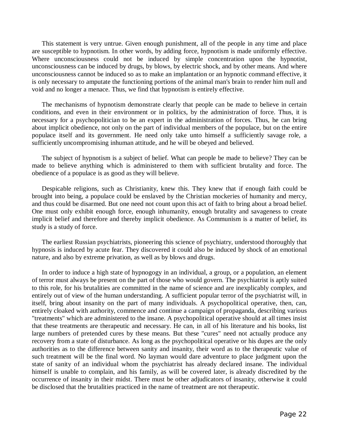This statement is very untrue. Given enough punishment, all of the people in any time and place are susceptible to hypnotism. In other words, by adding force, hypnotism is made uniformly effective. Where unconsciousness could not be induced by simple concentration upon the hypnotist, unconsciousness can be induced by drugs, by blows, by electric shock, and by other means. And where unconsciousness cannot be induced so as to make an implantation or an hypnotic command effective, it is only necessary to amputate the functioning portions of the animal man's brain to render him null and void and no longer a menace. Thus, we find that hypnotism is entirely effective.

The mechanisms of hypnotism demonstrate clearly that people can be made to believe in certain conditions, and even in their environment or in politics, by the administration of force. Thus, it is necessary for a psychopolitician to be an expert in the administration of forces. Thus, he can bring about implicit obedience, not only on the part of individual members of the populace, but on the entire populace itself and its government. He need only take unto himself a sufficiently savage role, a sufficiently uncompromising inhuman attitude, and he will be obeyed and believed.

The subject of hypnotism is a subject of belief. What can people be made to believe? They can be made to believe anything which is administered to them with sufficient brutality and force. The obedience of a populace is as good as they will believe.

Despicable religions, such as Christianity, knew this. They knew that if enough faith could be brought into being, a populace could be enslaved by the Christian mockeries of humanity and mercy, and thus could be disarmed. But one need not count upon this act of faith to bring about a broad belief. One must only exhibit enough force, enough inhumanity, enough brutality and savageness to create implicit belief and therefore and thereby implicit obedience. As Communism is a matter of belief, its study is a study of force.

The earliest Russian psychiatrists, pioneering this science of psychiatry, understood thoroughly that hypnosis is induced by acute fear. They discovered it could also be induced by shock of an emotional nature, and also by extreme privation, as well as by blows and drugs.

In order to induce a high state of hypnogogy in an individual, a group, or a population, an element of terror must always be present on the part of those who would govern. The psychiatrist is aptly suited to this role, for his brutalities are committed in the name of science and are inexplicably complex, and entirely out of view of the human understanding. A sufficient popular terror of the psychiatrist will, in itself, bring about insanity on the part of many individuals. A psychopolitical operative, then, can, entirely cloaked with authority, commence and continue a campaign of propaganda, describing various "treatments" which are administered to the insane. A psychopolitical operative should at all times insist that these treatments are therapeutic and necessary. He can, in all of his literature and his books, list large numbers of pretended cures by these means. But these "cures" need not actually produce any recovery from a state of disturbance. As long as the psychopolitical operative or his dupes are the only authorities as to the difference between sanity and insanity, their word as to the therapeutic value of such treatment will be the final word. No layman would dare adventure to place judgment upon the state of sanity of an individual whom the psychiatrist has already declared insane. The individual himself is unable to complain, and his family, as will be covered later, is already discredited by the occurrence of insanity in their midst. There must be other adjudicators of insanity, otherwise it could be disclosed that the brutalities practiced in the name of treatment are not therapeutic.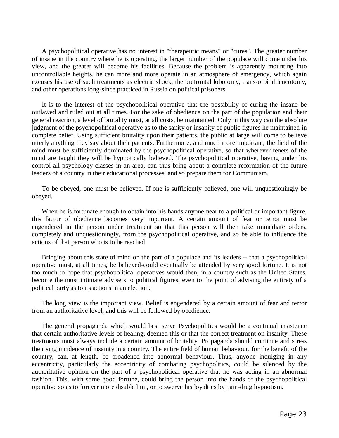A psychopolitical operative has no interest in "therapeutic means" or "cures". The greater number of insane in the country where he is operating, the larger number of the populace will come under his view, and the greater will become his facilities. Because the problem is apparently mounting into uncontrollable heights, he can more and more operate in an atmosphere of emergency, which again excuses his use of such treatments as electric shock, the prefrontal lobotomy, trans-orbital leucotomy, and other operations long-since practiced in Russia on political prisoners.

It is to the interest of the psychopolitical operative that the possibility of curing the insane be outlawed and ruled out at all times. For the sake of obedience on the part of the population and their general reaction, a level of brutality must, at all costs, be maintained. Only in this way can the absolute judgment of the psychopolitical operative as to the sanity or insanity of public figures he maintained in complete belief. Using sufficient brutality upon their patients, the public at large will come to believe utterly anything they say about their patients. Furthermore, and much more important, the field of the mind must be sufficiently dominated by the psychopolitical operative, so that wherever tenets of the mind are taught they will be hypnotically believed. The psychopolitical operative, having under his control all psychology classes in an area, can thus bring about a complete reformation of the future leaders of a country in their educational processes, and so prepare them for Communism.

To be obeyed, one must be believed. If one is sufficiently believed, one will unquestioningly be obeyed.

When he is fortunate enough to obtain into his hands anyone near to a political or important figure, this factor of obedience becomes very important. A certain amount of fear or terror must be engendered in the person under treatment so that this person will then take immediate orders, completely and unquestioningly, from the psychopolitical operative, and so be able to influence the actions of that person who is to be reached.

Bringing about this state of mind on the part of a populace and its leaders -- that a psychopolitical operative must, at all times, be believed-could eventually be attended by very good fortune. It is not too much to hope that psychopolitical operatives would then, in a country such as the United States, become the most intimate advisers to political figures, even to the point of advising the entirety of a political party as to its actions in an election.

The long view is the important view. Belief is engendered by a certain amount of fear and terror from an authoritative level, and this will be followed by obedience.

The general propaganda which would best serve Psychopolitics would be a continual insistence that certain authoritative levels of healing, deemed this or that the correct treatment on insanity. These treatments must always include a certain amount of brutality. Propaganda should continue and stress the rising incidence of insanity in a country. The entire field of human behaviour, for the benefit of the country, can, at length, be broadened into abnormal behaviour. Thus, anyone indulging in any eccentricity, particularly the eccentricity of combating psychopolitics, could be silenced by the authoritative opinion on the part of a psychopolitical operative that he was acting in an abnormal fashion. This, with some good fortune, could bring the person into the hands of the psychopolitical operative so as to forever more disable him, or to swerve his loyalties by pain-drug hypnotism.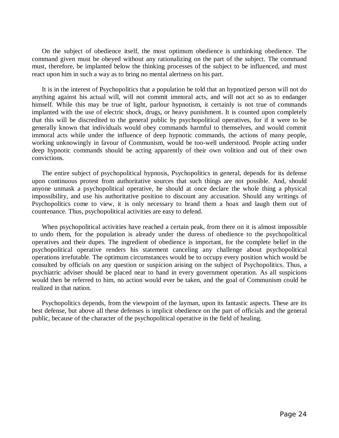On the subject of obedience itself, the most optimum obedience is unthinking obedience. The command given must be obeyed without any rationalizing on the part of the subject. The command must, therefore, be implanted below the thinking processes of the subject to be influenced, and must react upon him in such a way as to bring no mental alertness on his part.

It is in the interest of Psychopolitics that a population be told that an hypnotized person will not do anything against his actual will, will not commit immoral acts, and will not act so as to endanger himself. While this may be true of light, parlour hypnotism, it certainly is not true of commands implanted with the use of electric shock, drugs, or heavy punishment. It is counted upon completely that this will be discredited to the general public by psychopolitical operatives, for if it were to be generally known that individuals would obey commands harmful to themselves, and would commit immoral acts while under the influence of deep hypnotic commands, the actions of many people, working unknowingly in favour of Communism, would be too-well understood. People acting under deep hypnotic commands should be acting apparently of their own volition and out of their own convictions.

The entire subject of psychopolitical hypnosis, Psychopolitics in general, depends for its defense upon continuous protest from authoritative sources that such things are not possible. And, should anyone unmask a psychopolitical operative, he should at once declare the whole thing a physical impossibility, and use his authoritative position to discount any accusation. Should any writings of Psychopolitics come to view, it is only necessary to brand them a hoax and laugh them out of countenance. Thus, psychopolitical activities are easy to defend.

When psychopolitical activities have reached a certain peak, from there on it is almost impossible to undo them, for the population is already under the duress of obedience to the psychopolitical operatives and their dupes. The ingredient of obedience is important, for the complete belief in the psychopolitical operative renders his statement canceling any challenge about psychopolitical operations irrefutable. The optimum circumstances would be to occupy every position which would be consulted by officials on any question or suspicion arising on the subject of Psychopolitics. Thus, a psychiatric adviser should be placed near to hand in every government operation. As all suspicions would then be referred to him, no action would ever be taken, and the goal of Communism could be realized in that nation.

Psychopolitics depends, from the viewpoint of the layman, upon its fantastic aspects. These are its best defense, but above all these defenses is implicit obedience on the part of officials and the general public, because of the character of the psychopolitical operative in the field of healing.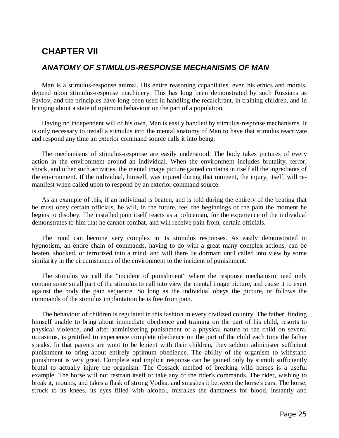### **CHAPTER VII**

#### *ANATOMY OF STIMULUS-RESPONSE MECHANISMS OF MAN*

Man is a stimulus-response animal. His entire reasoning capabilities, even his ethics and morals, depend upon stimulus-response machinery. This has long been demonstrated by such Russians as Pavlov, and the principles have long been used in handling the recalcitrant, in training children, and in bringing about a state of optimum behaviour on the part of a population.

Having no independent will of his own, Man is easily handled by stimulus-response mechanisms. It is only necessary to install a stimulus into the mental anatomy of Man to have that stimulus reactivate and respond any time an exterior command source calls it into being.

The mechanisms of stimulus-response are easily understood. The body takes pictures of every action in the environment around an individual. When the environment includes brutality, terror, shock, and other such activities, the mental image picture gained contains in itself all the ingredients of the environment. If the individual, himself, was injured during that moment, the injury, itself, will remanifest when called upon to respond by an exterior command source.

As an example of this, if an individual is beaten, and is told during the entirety of the beating that he must obey certain officials, he will, in the future, feel the beginnings of the pain the moment he begins to disobey. The installed pain itself reacts as a policeman, for the experience of the individual demonstrates to him that he cannot combat, and will receive pain from, certain officials.

The mind can become very complex in its stimulus responses. As easily demonstrated in hypnotism, an entire chain of commands, having to do with a great many complex actions, can be beaten, shocked, or terrorized into a mind, and will there lie dormant until called into view by some similarity in the circumstances of the environment to the incident of punishment.

The stimulus we call the "incident of punishment" where the response mechanism need only contain some small part of the stimulus to call into view the mental image picture, and cause it to exert against the body the pain sequence. So long as the individual obeys the picture, or follows the commands of the stimulus implantation he is free from pain.

The behaviour of children is regulated in this fashion in every civilized country. The father, finding himself unable to bring about immediate obedience and training on the part of his child, resorts to physical violence, and after administering punishment of a physical nature to the child on several occasions, is gratified to experience complete obedience on the part of the child each time the father speaks. In that parents are wont to be lenient with their children, they seldom administer sufficient punishment to bring about entirely optimum obedience. The ability of the organism to withstand punishment is very great. Complete and implicit response can be gained only by stimuli sufficiently brutal to actually injure the organism. The Cossack method of breaking wild horses is a useful example. The horse will not restrain itself or take any of the rider's commands. The rider, wishing to break it, mounts, and takes a flask of strong Vodka, and smashes it between the horse's ears. The horse, struck to its knees, its eyes filled with alcohol, mistakes the dampness for blood, instantly and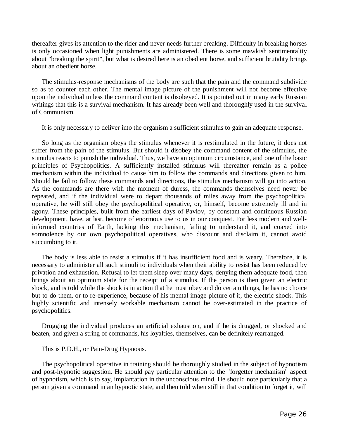thereafter gives its attention to the rider and never needs further breaking. Difficulty in breaking horses is only occasioned when light punishments are administered. There is some mawkish sentimentality about "breaking the spirit", but what is desired here is an obedient horse, and sufficient brutality brings about an obedient horse.

The stimulus-response mechanisms of the body are such that the pain and the command subdivide so as to counter each other. The mental image picture of the punishment will not become effective upon the individual unless the command content is disobeyed. It is pointed out in many early Russian writings that this is a survival mechanism. It has already been well and thoroughly used in the survival of Communism.

It is only necessary to deliver into the organism a sufficient stimulus to gain an adequate response.

So long as the organism obeys the stimulus whenever it is restimulated in the future, it does not suffer from the pain of the stimulus. But should it disobey the command content of the stimulus, the stimulus reacts to punish the individual. Thus, we have an optimum circumstance, and one of the basic principles of Psychopolitics. A sufficiently installed stimulus will thereafter remain as a police mechanism within the individual to cause him to follow the commands and directions given to him. Should he fail to follow these commands and directions, the stimulus mechanism will go into action. As the commands are there with the moment of duress, the commands themselves need never be repeated, and if the individual were to depart thousands of miles away from the psychopolitical operative, he will still obey the psychopolitical operative, or, himself, become extremely ill and in agony. These principles, built from the earliest days of Pavlov, by constant and continuous Russian development, have, at last, become of enormous use to us in our conquest. For less modern and wellinformed countries of Earth, lacking this mechanism, failing to understand it, and coaxed into somnolence by our own psychopolitical operatives, who discount and disclaim it, cannot avoid succumbing to it.

The body is less able to resist a stimulus if it has insufficient food and is weary. Therefore, it is necessary to administer all such stimuli to individuals when their ability to resist has been reduced by privation and exhaustion. Refusal to let them sleep over many days, denying them adequate food, then brings about an optimum state for the receipt of a stimulus. If the person is then given an electric shock, and is told while the shock is in action that he must obey and do certain things, he has no choice but to do them, or to re-experience, because of his mental image picture of it, the electric shock. This highly scientific and intensely workable mechanism cannot be over-estimated in the practice of psychopolitics.

Drugging the individual produces an artificial exhaustion, and if he is drugged, or shocked and beaten, and given a string of commands, his loyalties, themselves, can be definitely rearranged.

This is P.D.H., or Pain-Drug Hypnosis.

The psychopolitical operative in training should be thoroughly studied in the subject of hypnotism and post-hypnotic suggestion. He should pay particular attention to the "forgetter mechanism" aspect of hypnotism, which is to say, implantation in the unconscious mind. He should note particularly that a person given a command in an hypnotic state, and then told when still in that condition to forget it, will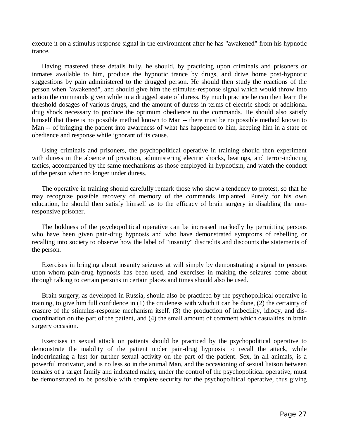execute it on a stimulus-response signal in the environment after he has "awakened" from his hypnotic trance.

Having mastered these details fully, he should, by practicing upon criminals and prisoners or inmates available to him, produce the hypnotic trance by drugs, and drive home post-hypnotic suggestions by pain administered to the drugged person. He should then study the reactions of the person when "awakened", and should give him the stimulus-response signal which would throw into action the commands given while in a drugged state of duress. By much practice he can then learn the threshold dosages of various drugs, and the amount of duress in terms of electric shock or additional drug shock necessary to produce the optimum obedience to the commands. He should also satisfy himself that there is no possible method known to Man -- there must be no possible method known to Man -- of bringing the patient into awareness of what has happened to him, keeping him in a state of obedience and response while ignorant of its cause.

Using criminals and prisoners, the psychopolitical operative in training should then experiment with duress in the absence of privation, administering electric shocks, beatings, and terror-inducing tactics, accompanied by the same mechanisms as those employed in hypnotism, and watch the conduct of the person when no longer under duress.

The operative in training should carefully remark those who show a tendency to protest, so that he may recognize possible recovery of memory of the commands implanted. Purely for his own education, he should then satisfy himself as to the efficacy of brain surgery in disabling the nonresponsive prisoner.

The boldness of the psychopolitical operative can be increased markedly by permitting persons who have been given pain-drug hypnosis and who have demonstrated symptoms of rebelling or recalling into society to observe how the label of "insanity" discredits and discounts the statements of the person.

Exercises in bringing about insanity seizures at will simply by demonstrating a signal to persons upon whom pain-drug hypnosis has been used, and exercises in making the seizures come about through talking to certain persons in certain places and times should also be used.

Brain surgery, as developed in Russia, should also be practiced by the psychopolitical operative in training, to give him full confidence in (1) the crudeness with which it can be done, (2) the certainty of erasure of the stimulus-response mechanism itself, (3) the production of imbecility, idiocy, and discoordination on the part of the patient, and (4) the small amount of comment which casualties in brain surgery occasion.

Exercises in sexual attack on patients should be practiced by the psychopolitical operative to demonstrate the inability of the patient under pain-drug hypnosis to recall the attack, while indoctrinating a lust for further sexual activity on the part of the patient. Sex, in all animals, is a powerful motivator, and is no less so in the animal Man, and the occasioning of sexual liaison between females of a target family and indicated males, under the control of the psychopolitical operative, must be demonstrated to be possible with complete security for the psychopolitical operative, thus giving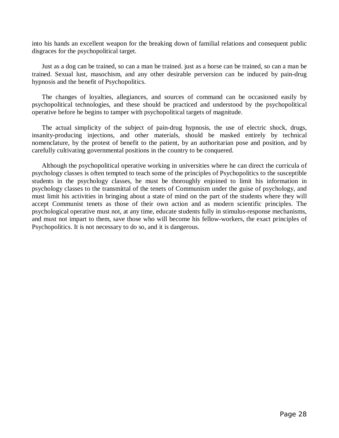into his hands an excellent weapon for the breaking down of familial relations and consequent public disgraces for the psychopolitical target.

Just as a dog can be trained, so can a man be trained. just as a horse can be trained, so can a man be trained. Sexual lust, masochism, and any other desirable perversion can be induced by pain-drug hypnosis and the benefit of Psychopolitics.

The changes of loyalties, allegiances, and sources of command can be occasioned easily by psychopolitical technologies, and these should be practiced and understood by the psychopolitical operative before he begins to tamper with psychopolitical targets of magnitude.

The actual simplicity of the subject of pain-drug hypnosis, the use of electric shock, drugs, insanity-producing injections, and other materials, should be masked entirely by technical nomenclature, by the protest of benefit to the patient, by an authoritarian pose and position, and by carefully cultivating governmental positions in the country to be conquered.

Although the psychopolitical operative working in universities where he can direct the curricula of psychology classes is often tempted to teach some of the principles of Psychopolitics to the susceptible students in the psychology classes, he must be thoroughly enjoined to limit his information in psychology classes to the transmittal of the tenets of Communism under the guise of psychology, and must limit his activities in bringing about a state of mind on the part of the students where they will accept Communist tenets as those of their own action and as modern scientific principles. The psychological operative must not, at any time, educate students fully in stimulus-response mechanisms, and must not impart to them, save those who will become his fellow-workers, the exact principles of Psychopolitics. It is not necessary to do so, and it is dangerous.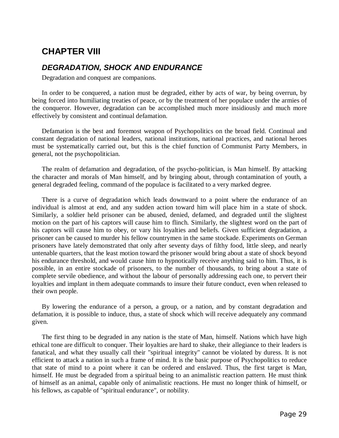## **CHAPTER VIII**

#### *DEGRADATION, SHOCK AND ENDURANCE*

Degradation and conquest are companions.

In order to be conquered, a nation must be degraded, either by acts of war, by being overrun, by being forced into humiliating treaties of peace, or by the treatment of her populace under the armies of the conqueror. However, degradation can be accomplished much more insidiously and much more effectively by consistent and continual defamation.

Defamation is the best and foremost weapon of Psychopolitics on the broad field. Continual and constant degradation of national leaders, national institutions, national practices, and national heroes must be systematically carried out, but this is the chief function of Communist Party Members, in general, not the psychopolitician.

The realm of defamation and degradation, of the psycho-politician, is Man himself. By attacking the character and morals of Man himself, and by bringing about, through contamination of youth, a general degraded feeling, command of the populace is facilitated to a very marked degree.

There is a curve of degradation which leads downward to a point where the endurance of an individual is almost at end, and any sudden action toward him will place him in a state of shock. Similarly, a soldier held prisoner can be abused, denied, defamed, and degraded until the slightest motion on the part of his captors will cause him to flinch. Similarly, the slightest word on the part of his captors will cause him to obey, or vary his loyalties and beliefs. Given sufficient degradation, a prisoner can be caused to murder his fellow countrymen in the same stockade. Experiments on German prisoners have lately demonstrated that only after seventy days of filthy food, little sleep, and nearly untenable quarters, that the least motion toward the prisoner would bring about a state of shock beyond his endurance threshold, and would cause him to hypnotically receive anything said to him. Thus, it is possible, in an entire stockade of prisoners, to the number of thousands, to bring about a state of complete servile obedience, and without the labour of personally addressing each one, to pervert their loyalties and implant in them adequate commands to insure their future conduct, even when released to their own people.

By lowering the endurance of a person, a group, or a nation, and by constant degradation and defamation, it is possible to induce, thus, a state of shock which will receive adequately any command given.

The first thing to be degraded in any nation is the state of Man, himself. Nations which have high ethical tone are difficult to conquer. Their loyalties are hard to shake, their allegiance to their leaders is fanatical, and what they usually call their "spiritual integrity" cannot be violated by duress. It is not efficient to attack a nation in such a frame of mind. It is the basic purpose of Psychopolitics to reduce that state of mind to a point where it can be ordered and enslaved. Thus, the first target is Man, himself. He must be degraded from a spiritual being to an animalistic reaction pattern. He must think of himself as an animal, capable only of animalistic reactions. He must no longer think of himself, or his fellows, as capable of "spiritual endurance", or nobility.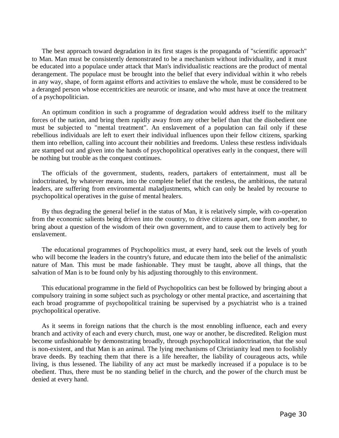The best approach toward degradation in its first stages is the propaganda of "scientific approach" to Man. Man must be consistently demonstrated to be a mechanism without individuality, and it must be educated into a populace under attack that Man's individualistic reactions are the product of mental derangement. The populace must be brought into the belief that every individual within it who rebels in any way, shape, of form against efforts and activities to enslave the whole, must be considered to be a deranged person whose eccentricities are neurotic or insane, and who must have at once the treatment of a psychopolitician.

An optimum condition in such a programme of degradation would address itself to the military forces of the nation, and bring them rapidly away from any other belief than that the disobedient one must be subjected to "mental treatment". An enslavement of a population can fail only if these rebellious individuals are left to exert their individual influences upon their fellow citizens, sparking them into rebellion, calling into account their nobilities and freedoms. Unless these restless individuals are stamped out and given into the hands of psychopolitical operatives early in the conquest, there will be nothing but trouble as the conquest continues.

The officials of the government, students, readers, partakers of entertainment, must all be indoctrinated, by whatever means, into the complete belief that the restless, the ambitious, the natural leaders, are suffering from environmental maladjustments, which can only be healed by recourse to psychopolitical operatives in the guise of mental healers.

By thus degrading the general belief in the status of Man, it is relatively simple, with co-operation from the economic salients being driven into the country, to drive citizens apart, one from another, to bring about a question of the wisdom of their own government, and to cause them to actively beg for enslavement.

The educational programmes of Psychopolitics must, at every hand, seek out the levels of youth who will become the leaders in the country's future, and educate them into the belief of the animalistic nature of Man. This must be made fashionable. They must be taught, above all things, that the salvation of Man is to be found only by his adjusting thoroughly to this environment.

This educational programme in the field of Psychopolitics can best be followed by bringing about a compulsory training in some subject such as psychology or other mental practice, and ascertaining that each broad programme of psychopolitical training be supervised by a psychiatrist who is a trained psychopolitical operative.

As it seems in foreign nations that the church is the most ennobling influence, each and every branch and activity of each and every church, must, one way or another, be discredited. Religion must become unfashionable by demonstrating broadly, through psychopolitical indoctrination, that the soul is non-existent, and that Man is an animal. The lying mechanisms of Christianity lead men to foolishly brave deeds. By teaching them that there is a life hereafter, the liability of courageous acts, while living, is thus lessened. The liability of any act must be markedly increased if a populace is to be obedient. Thus, there must be no standing belief in the church, and the power of the church must be denied at every hand.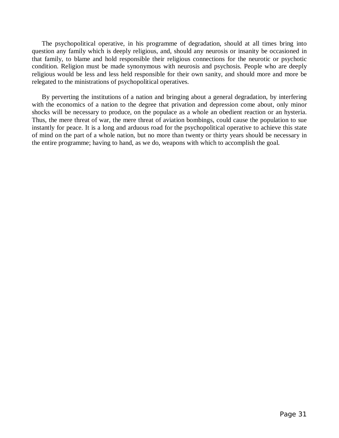The psychopolitical operative, in his programme of degradation, should at all times bring into question any family which is deeply religious, and, should any neurosis or insanity be occasioned in that family, to blame and hold responsible their religious connections for the neurotic or psychotic condition. Religion must be made synonymous with neurosis and psychosis. People who are deeply religious would be less and less held responsible for their own sanity, and should more and more be relegated to the ministrations of psychopolitical operatives.

By perverting the institutions of a nation and bringing about a general degradation, by interfering with the economics of a nation to the degree that privation and depression come about, only minor shocks will be necessary to produce, on the populace as a whole an obedient reaction or an hysteria. Thus, the mere threat of war, the mere threat of aviation bombings, could cause the population to sue instantly for peace. It is a long and arduous road for the psychopolitical operative to achieve this state of mind on the part of a whole nation, but no more than twenty or thirty years should be necessary in the entire programme; having to hand, as we do, weapons with which to accomplish the goal.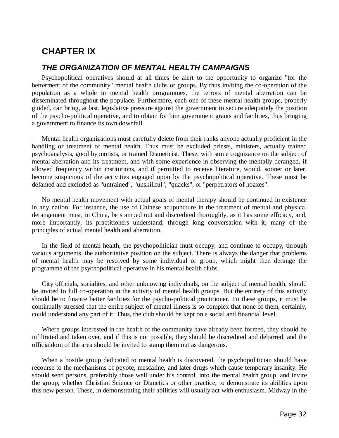## **CHAPTER IX**

#### *THE ORGANIZATION OF MENTAL HEALTH CAMPAIGNS*

Psychopolitical operatives should at all times be alert to the opportunity to organize "for the betterment of the community" mental health clubs or groups. By thus inviting the co-operation of the population as a whole in mental health programmes, the terrors of mental aberration can be disseminated throughout the populace. Furthermore, each one of these mental health groups, properly guided, can bring, at last, legislative pressure against the government to secure adequately the position of the psycho-political operative, and to obtain for him government grants and facilities, thus bringing a government to finance its own downfall.

Mental health organizations must carefully delete from their ranks anyone actually proficient in the handling or treatment of mental health. Thus must be excluded priests, ministers, actually trained psychoanalysts, good hypnotists, or trained Dianeticist. These, with some cognizance on the subject of mental aberration and its treatment, and with some experience in observing the mentally deranged, if allowed frequency within institutions, and if permitted to receive literature, would, sooner or later, become suspicious of the activities engaged upon by the psychopolitical operative. These must be defamed and excluded as "untrained", "unskillful", "quacks", or "perpetrators of hoaxes".

No mental health movement with actual goals of mental therapy should be continued in existence in any nation. For instance, the use of Chinese acupuncture in the treatment of mental and physical derangement must, in China, be stamped out and discredited thoroughly, as it has some efficacy, and, more importantly, its practitioners understand, through long conversation with it, many of the principles of actual mental health and aberration.

In the field of mental health, the psychopolitician must occupy, and continue to occupy, through various arguments, the authoritative position on the subject. There is always the danger that problems of mental health may be resolved by some individual or group, which might then derange the programme of the psychopolitical operative in his mental health clubs.

City officials, socialites, and other unknowing individuals, on the subject of mental health, should be invited to full co-operation in the activity of mental health groups. But the entirety of this activity should be to finance better facilities for the psycho-political practitioner. To these groups, it must be continually stressed that the entire subject of mental illness is so complex that none of them, certainly, could understand any part of it. Thus, the club should be kept on a social and financial level.

Where groups interested in the health of the community have already been formed, they should be infiltrated and taken over, and if this is not possible, they should be discredited and debarred, and the officialdom of the area should be invited to stamp them out as dangerous.

When a hostile group dedicated to mental health is discovered, the psychopolitician should have recourse to the mechanisms of peyote, mescaline, and later drugs which cause temporary insanity. He should send persons, preferably those well under his control, into the mental health group, and invite the group, whether Christian Science or Dianetics or other practice, to demonstrate its abilities upon this new person. These, in demonstrating their abilities will usually act with enthusiasm. Midway in the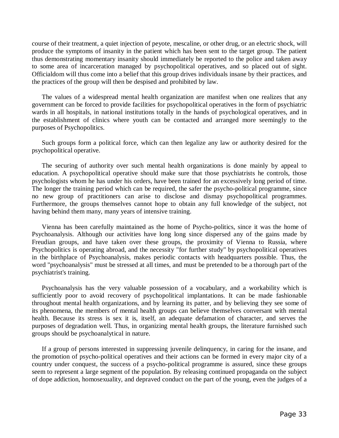course of their treatment, a quiet injection of peyote, mescaline, or other drug, or an electric shock, will produce the symptoms of insanity in the patient which has been sent to the target group. The patient thus demonstrating momentary insanity should immediately be reported to the police and taken away to some area of incarceration managed by psychopolitical operatives, and so placed out of sight. Officialdom will thus come into a belief that this group drives individuals insane by their practices, and the practices of the group will then be despised and prohibited by law.

The values of a widespread mental health organization are manifest when one realizes that any government can be forced to provide facilities for psychopolitical operatives in the form of psychiatric wards in all hospitals, in national institutions totally in the hands of psychological operatives, and in the establishment of clinics where youth can be contacted and arranged more seemingly to the purposes of Psychopolitics.

Such groups form a political force, which can then legalize any law or authority desired for the psychopolitical operative.

The securing of authority over such mental health organizations is done mainly by appeal to education. A psychopolitical operative should make sure that those psychiatrists he controls, those psychologists whom he has under his orders, have been trained for an excessively long period of time. The longer the training period which can be required, the safer the psycho-political programme, since no new group of practitioners can arise to disclose and dismay psychopolitical programmes. Furthermore, the groups themselves cannot hope to obtain any full knowledge of the subject, not having behind them many, many years of intensive training.

Vienna has been carefully maintained as the home of Psycho-politics, since it was the home of Psychoanalysis. Although our activities have long long since dispersed any of the gains made by Freudian groups, and have taken over these groups, the proximity of Vienna to Russia, where Psychopolitics is operating abroad, and the necessity "for further study" by psychopolitical operatives in the birthplace of Psychoanalysis, makes periodic contacts with headquarters possible. Thus, the word "psychoanalysis" must be stressed at all times, and must be pretended to be a thorough part of the psychiatrist's training.

Psychoanalysis has the very valuable possession of a vocabulary, and a workability which is sufficiently poor to avoid recovery of psychopolitical implantations. It can be made fashionable throughout mental health organizations, and by learning its patter, and by believing they see some of its phenomena, the members of mental health groups can believe themselves conversant with mental health. Because its stress is sex it is, itself, an adequate defamation of character, and serves the purposes of degradation well. Thus, in organizing mental health groups, the literature furnished such groups should be psychoanalytical in nature.

If a group of persons interested in suppressing juvenile delinquency, in caring for the insane, and the promotion of psycho-political operatives and their actions can be formed in every major city of a country under conquest, the success of a psycho-political programme is assured, since these groups seem to represent a large segment of the population. By releasing continued propaganda on the subject of dope addiction, homosexuality, and depraved conduct on the part of the young, even the judges of a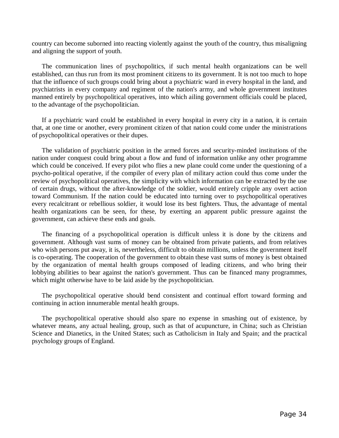country can become suborned into reacting violently against the youth of the country, thus misaligning and aligning the support of youth.

The communication lines of psychopolitics, if such mental health organizations can be well established, can thus run from its most prominent citizens to its government. It is not too much to hope that the influence of such groups could bring about a psychiatric ward in every hospital in the land, and psychiatrists in every company and regiment of the nation's army, and whole government institutes manned entirely by psychopolitical operatives, into which ailing government officials could be placed, to the advantage of the psychopolitician.

If a psychiatric ward could be established in every hospital in every city in a nation, it is certain that, at one time or another, every prominent citizen of that nation could come under the ministrations of psychopolitical operatives or their dupes.

The validation of psychiatric position in the armed forces and security-minded institutions of the nation under conquest could bring about a flow and fund of information unlike any other programme which could be conceived. If every pilot who flies a new plane could come under the questioning of a psycho-political operative, if the compiler of every plan of military action could thus come under the review of psychopolitical operatives, the simplicity with which information can be extracted by the use of certain drugs, without the after-knowledge of the soldier, would entirely cripple any overt action toward Communism. If the nation could be educated into turning over to psychopolitical operatives every recalcitrant or rebellious soldier, it would lose its best fighters. Thus, the advantage of mental health organizations can be seen, for these, by exerting an apparent public pressure against the government, can achieve these ends and goals.

The financing of a psychopolitical operation is difficult unless it is done by the citizens and government. Although vast sums of money can be obtained from private patients, and from relatives who wish persons put away, it is, nevertheless, difficult to obtain millions, unless the government itself is co-operating. The cooperation of the government to obtain these vast sums of money is best obtained by the organization of mental health groups composed of leading citizens, and who bring their lobbying abilities to bear against the nation's government. Thus can be financed many programmes, which might otherwise have to be laid aside by the psychopolitician.

The psychopolitical operative should bend consistent and continual effort toward forming and continuing in action innumerable mental health groups.

The psychopolitical operative should also spare no expense in smashing out of existence, by whatever means, any actual healing, group, such as that of acupuncture, in China; such as Christian Science and Dianetics, in the United States; such as Catholicism in Italy and Spain; and the practical psychology groups of England.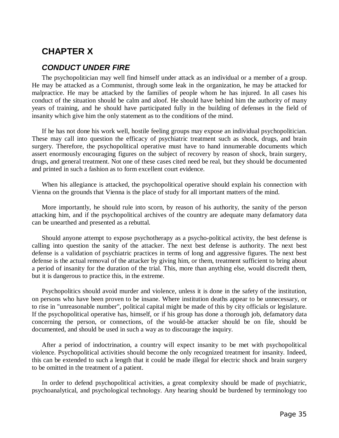## **CHAPTER X**

#### *CONDUCT UNDER FIRE*

The psychopolitician may well find himself under attack as an individual or a member of a group. He may be attacked as a Communist, through some leak in the organization, he may be attacked for malpractice. He may be attacked by the families of people whom he has injured. In all cases his conduct of the situation should be calm and aloof. He should have behind him the authority of many years of training, and he should have participated fully in the building of defenses in the field of insanity which give him the only statement as to the conditions of the mind.

If he has not done his work well, hostile feeling groups may expose an individual psychopolitician. These may call into question the efficacy of psychiatric treatment such as shock, drugs, and brain surgery. Therefore, the psychopolitical operative must have to hand innumerable documents which assert enormously encouraging figures on the subject of recovery by reason of shock, brain surgery, drugs, and general treatment. Not one of these cases cited need be real, but they should be documented and printed in such a fashion as to form excellent court evidence.

When his allegiance is attacked, the psychopolitical operative should explain his connection with Vienna on the grounds that Vienna is the place of study for all important matters of the mind.

More importantly, he should rule into scorn, by reason of his authority, the sanity of the person attacking him, and if the psychopolitical archives of the country are adequate many defamatory data can be unearthed and presented as a rebuttal.

Should anyone attempt to expose psychotherapy as a psycho-political activity, the best defense is calling into question the sanity of the attacker. The next best defense is authority. The next best defense is a validation of psychiatric practices in terms of long and aggressive figures. The next best defense is the actual removal of the attacker by giving him, or them, treatment sufficient to bring about a period of insanity for the duration of the trial. This, more than anything else, would discredit them, but it is dangerous to practice this, in the extreme.

Psychopolitics should avoid murder and violence, unless it is done in the safety of the institution, on persons who have been proven to be insane. Where institution deaths appear to be unnecessary, or to rise in "unreasonable number", political capital might be made of this by city officials or legislature. If the psychopolitical operative has, himself, or if his group has done a thorough job, defamatory data concerning the person, or connections, of the would-be attacker should be on file, should be documented, and should be used in such a way as to discourage the inquiry.

After a period of indoctrination, a country will expect insanity to be met with psychopolitical violence. Psychopolitical activities should become the only recognized treatment for insanity. Indeed, this can be extended to such a length that it could be made illegal for electric shock and brain surgery to be omitted in the treatment of a patient.

In order to defend psychopolitical activities, a great complexity should be made of psychiatric, psychoanalytical, and psychological technology. Any hearing should be burdened by terminology too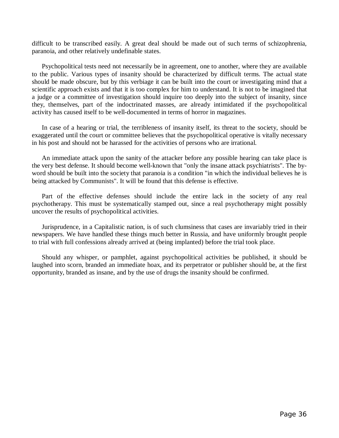difficult to be transcribed easily. A great deal should be made out of such terms of schizophrenia, paranoia, and other relatively undefinable states.

Psychopolitical tests need not necessarily be in agreement, one to another, where they are available to the public. Various types of insanity should be characterized by difficult terms. The actual state should be made obscure, but by this verbiage it can be built into the court or investigating mind that a scientific approach exists and that it is too complex for him to understand. It is not to be imagined that a judge or a committee of investigation should inquire too deeply into the subject of insanity, since they, themselves, part of the indoctrinated masses, are already intimidated if the psychopolitical activity has caused itself to be well-documented in terms of horror in magazines.

In case of a hearing or trial, the terribleness of insanity itself, its threat to the society, should be exaggerated until the court or committee believes that the psychopolitical operative is vitally necessary in his post and should not be harassed for the activities of persons who are irrational.

An immediate attack upon the sanity of the attacker before any possible hearing can take place is the very best defense. It should become well-known that "only the insane attack psychiatrists". The byword should be built into the society that paranoia is a condition "in which the individual believes he is being attacked by Communists". It will be found that this defense is effective.

Part of the effective defenses should include the entire lack in the society of any real psychotherapy. This must be systematically stamped out, since a real psychotherapy might possibly uncover the results of psychopolitical activities.

Jurisprudence, in a Capitalistic nation, is of such clumsiness that cases are invariably tried in their newspapers. We have handled these things much better in Russia, and have uniformly brought people to trial with full confessions already arrived at (being implanted) before the trial took place.

Should any whisper, or pamphlet, against psychopolitical activities be published, it should be laughed into scorn, branded an immediate hoax, and its perpetrator or publisher should be, at the first opportunity, branded as insane, and by the use of drugs the insanity should be confirmed.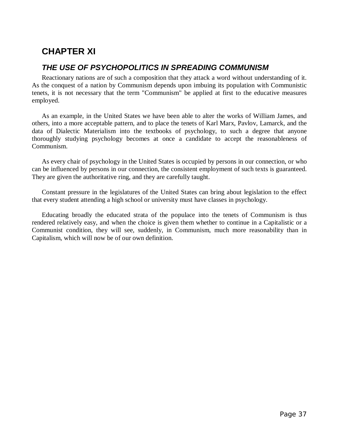## **CHAPTER XI**

#### *THE USE OF PSYCHOPOLITICS IN SPREADING COMMUNISM*

Reactionary nations are of such a composition that they attack a word without understanding of it. As the conquest of a nation by Communism depends upon imbuing its population with Communistic tenets, it is not necessary that the term "Communism" be applied at first to the educative measures employed.

As an example, in the United States we have been able to alter the works of William James, and others, into a more acceptable pattern, and to place the tenets of Karl Marx, Pavlov, Lamarck, and the data of Dialectic Materialism into the textbooks of psychology, to such a degree that anyone thoroughly studying psychology becomes at once a candidate to accept the reasonableness of Communism.

As every chair of psychology in the United States is occupied by persons in our connection, or who can be influenced by persons in our connection, the consistent employment of such texts is guaranteed. They are given the authoritative ring, and they are carefully taught.

Constant pressure in the legislatures of the United States can bring about legislation to the effect that every student attending a high school or university must have classes in psychology.

Educating broadly the educated strata of the populace into the tenets of Communism is thus rendered relatively easy, and when the choice is given them whether to continue in a Capitalistic or a Communist condition, they will see, suddenly, in Communism, much more reasonability than in Capitalism, which will now be of our own definition.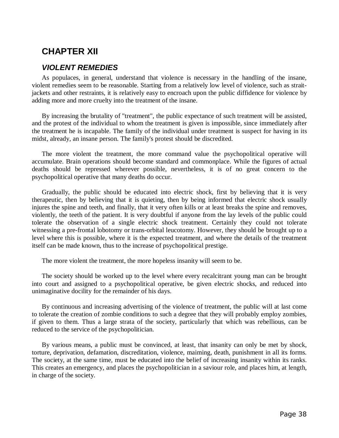## **CHAPTER XII**

#### *VIOLENT REMEDIES*

As populaces, in general, understand that violence is necessary in the handling of the insane, violent remedies seem to be reasonable. Starting from a relatively low level of violence, such as straitjackets and other restraints, it is relatively easy to encroach upon the public diffidence for violence by adding more and more cruelty into the treatment of the insane.

By increasing the brutality of "treatment", the public expectance of such treatment will be assisted, and the protest of the individual to whom the treatment is given is impossible, since immediately after the treatment he is incapable. The family of the individual under treatment is suspect for having in its midst, already, an insane person. The family's protest should be discredited.

The more violent the treatment, the more command value the psychopolitical operative will accumulate. Brain operations should become standard and commonplace. While the figures of actual deaths should be repressed wherever possible, nevertheless, it is of no great concern to the psychopolitical operative that many deaths do occur.

Gradually, the public should be educated into electric shock, first by believing that it is very therapeutic, then by believing that it is quieting, then by being informed that electric shock usually injures the spine and teeth, and finally, that it very often kills or at least breaks the spine and removes, violently, the teeth of the patient. It is very doubtful if anyone from the lay levels of the public could tolerate the observation of a single electric shock treatment. Certainly they could not tolerate witnessing a pre-frontal lobotomy or trans-orbital leucotomy. However, they should be brought up to a level where this is possible, where it is the expected treatment, and where the details of the treatment itself can be made known, thus to the increase of psychopolitical prestige.

The more violent the treatment, the more hopeless insanity will seem to be.

The society should be worked up to the level where every recalcitrant young man can be brought into court and assigned to a psychopolitical operative, be given electric shocks, and reduced into unimaginative docility for the remainder of his days.

By continuous and increasing advertising of the violence of treatment, the public will at last come to tolerate the creation of zombie conditions to such a degree that they will probably employ zombies, if given to them. Thus a large strata of the society, particularly that which was rebellious, can be reduced to the service of the psychopolitician.

By various means, a public must be convinced, at least, that insanity can only be met by shock, torture, deprivation, defamation, discreditation, violence, maiming, death, punishment in all its forms. The society, at the same time, must be educated into the belief of increasing insanity within its ranks. This creates an emergency, and places the psychopolitician in a saviour role, and places him, at length, in charge of the society.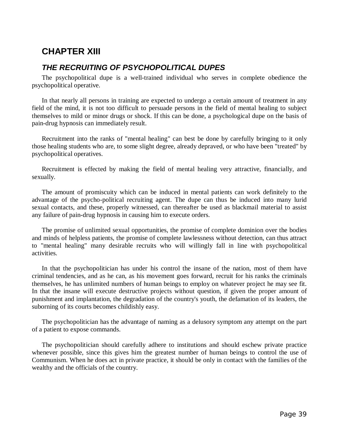## **CHAPTER XIII**

#### *THE RECRUITING OF PSYCHOPOLITICAL DUPES*

The psychopolitical dupe is a well-trained individual who serves in complete obedience the psychopolitical operative.

In that nearly all persons in training are expected to undergo a certain amount of treatment in any field of the mind, it is not too difficult to persuade persons in the field of mental healing to subject themselves to mild or minor drugs or shock. If this can be done, a psychological dupe on the basis of pain-drug hypnosis can immediately result.

Recruitment into the ranks of "mental healing" can best be done by carefully bringing to it only those healing students who are, to some slight degree, already depraved, or who have been "treated" by psychopolitical operatives.

Recruitment is effected by making the field of mental healing very attractive, financially, and sexually.

The amount of promiscuity which can be induced in mental patients can work definitely to the advantage of the psycho-political recruiting agent. The dupe can thus be induced into many lurid sexual contacts, and these, properly witnessed, can thereafter be used as blackmail material to assist any failure of pain-drug hypnosis in causing him to execute orders.

The promise of unlimited sexual opportunities, the promise of complete dominion over the bodies and minds of helpless patients, the promise of complete lawlessness without detection, can thus attract to "mental healing" many desirable recruits who will willingly fall in line with psychopolitical activities.

In that the psychopolitician has under his control the insane of the nation, most of them have criminal tendencies, and as he can, as his movement goes forward, recruit for his ranks the criminals themselves, he has unlimited numbers of human beings to employ on whatever project he may see fit. In that the insane will execute destructive projects without question, if given the proper amount of punishment and implantation, the degradation of the country's youth, the defamation of its leaders, the suborning of its courts becomes childishly easy.

The psychopolitician has the advantage of naming as a delusory symptom any attempt on the part of a patient to expose commands.

The psychopolitician should carefully adhere to institutions and should eschew private practice whenever possible, since this gives him the greatest number of human beings to control the use of Communism. When he does act in private practice, it should be only in contact with the families of the wealthy and the officials of the country.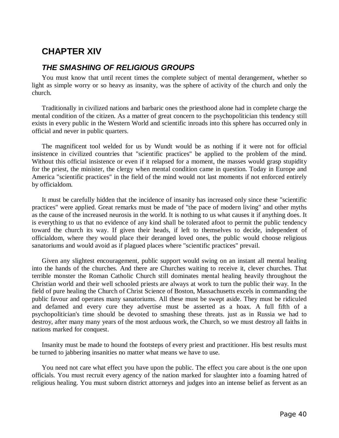## **CHAPTER XIV**

#### *THE SMASHING OF RELIGIOUS GROUPS*

You must know that until recent times the complete subject of mental derangement, whether so light as simple worry or so heavy as insanity, was the sphere of activity of the church and only the church.

Traditionally in civilized nations and barbaric ones the priesthood alone had in complete charge the mental condition of the citizen. As a matter of great concern to the psychopolitician this tendency still exists in every public in the Western World and scientific inroads into this sphere has occurred only in official and never in public quarters.

The magnificent tool welded for us by Wundt would be as nothing if it were not for official insistence in civilized countries that "scientific practices" be applied to the problem of the mind. Without this official insistence or even if it relapsed for a moment, the masses would grasp stupidity for the priest, the minister, the clergy when mental condition came in question. Today in Europe and America "scientific practices" in the field of the mind would not last moments if not enforced entirely by officialdom.

It must be carefully hidden that the incidence of insanity has increased only since these "scientific practices" were applied. Great remarks must be made of "the pace of modern living" and other myths as the cause of the increased neurosis in the world. It is nothing to us what causes it if anything does. It is everything to us that no evidence of any kind shall be tolerated afoot to permit the public tendency toward the church its way. If given their heads, if left to themselves to decide, independent of officialdom, where they would place their deranged loved ones, the public would choose religious sanatoriums and would avoid as if plagued places where "scientific practices" prevail.

Given any slightest encouragement, public support would swing on an instant all mental healing into the hands of the churches. And there are Churches waiting to receive it, clever churches. That terrible monster the Roman Catholic Church still dominates mental healing heavily throughout the Christian world and their well schooled priests are always at work to turn the public their way. In the field of pure healing the Church of Christ Science of Boston, Massachusetts excels in commanding the public favour and operates many sanatoriums. All these must be swept aside. They must be ridiculed and defamed and every cure they advertise must be asserted as a hoax. A full fifth of a psychopolitician's time should be devoted to smashing these threats. just as in Russia we had to destroy, after many many years of the most arduous work, the Church, so we must destroy all faiths in nations marked for conquest.

Insanity must be made to hound the footsteps of every priest and practitioner. His best results must be turned to jabbering insanities no matter what means we have to use.

You need not care what effect you have upon the public. The effect you care about is the one upon officials. You must recruit every agency of the nation marked for slaughter into a foaming hatred of religious healing. You must suborn district attorneys and judges into an intense belief as fervent as an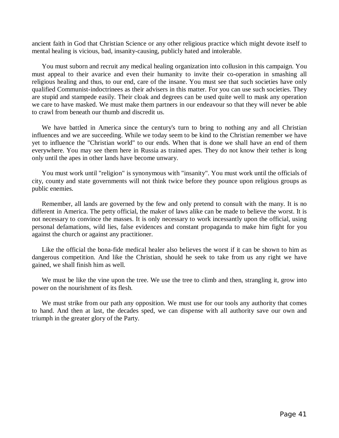ancient faith in God that Christian Science or any other religious practice which might devote itself to mental healing is vicious, bad, insanity-causing, publicly hated and intolerable.

You must suborn and recruit any medical healing organization into collusion in this campaign. You must appeal to their avarice and even their humanity to invite their co-operation in smashing all religious healing and thus, to our end, care of the insane. You must see that such societies have only qualified Communist-indoctrinees as their advisers in this matter. For you can use such societies. They are stupid and stampede easily. Their cloak and degrees can be used quite well to mask any operation we care to have masked. We must make them partners in our endeavour so that they will never be able to crawl from beneath our thumb and discredit us.

We have battled in America since the century's turn to bring to nothing any and all Christian influences and we are succeeding. While we today seem to be kind to the Christian remember we have yet to influence the "Christian world" to our ends. When that is done we shall have an end of them everywhere. You may see them here in Russia as trained apes. They do not know their tether is long only until the apes in other lands have become unwary.

You must work until "religion" is synonymous with "insanity". You must work until the officials of city, county and state governments will not think twice before they pounce upon religious groups as public enemies.

Remember, all lands are governed by the few and only pretend to consult with the many. It is no different in America. The petty official, the maker of laws alike can be made to believe the worst. It is not necessary to convince the masses. It is only necessary to work incessantly upon the official, using personal defamations, wild lies, false evidences and constant propaganda to make him fight for you against the church or against any practitioner.

Like the official the bona-fide medical healer also believes the worst if it can be shown to him as dangerous competition. And like the Christian, should he seek to take from us any right we have gained, we shall finish him as well.

We must be like the vine upon the tree. We use the tree to climb and then, strangling it, grow into power on the nourishment of its flesh.

We must strike from our path any opposition. We must use for our tools any authority that comes to hand. And then at last, the decades sped, we can dispense with all authority save our own and triumph in the greater glory of the Party.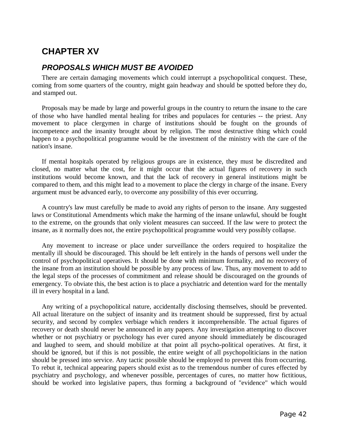## **CHAPTER XV**

#### *PROPOSALS WHICH MUST BE AVOIDED*

There are certain damaging movements which could interrupt a psychopolitical conquest. These, coming from some quarters of the country, might gain headway and should be spotted before they do, and stamped out.

Proposals may be made by large and powerful groups in the country to return the insane to the care of those who have handled mental healing for tribes and populaces for centuries -- the priest. Any movement to place clergymen in charge of institutions should be fought on the grounds of incompetence and the insanity brought about by religion. The most destructive thing which could happen to a psychopolitical programme would be the investment of the ministry with the care of the nation's insane.

If mental hospitals operated by religious groups are in existence, they must be discredited and closed, no matter what the cost, for it might occur that the actual figures of recovery in such institutions would become known, and that the lack of recovery in general institutions might be compared to them, and this might lead to a movement to place the clergy in charge of the insane. Every argument must be advanced early, to overcome any possibility of this ever occurring.

A country's law must carefully be made to avoid any rights of person to the insane. Any suggested laws or Constitutional Amendments which make the harming of the insane unlawful, should be fought to the extreme, on the grounds that only violent measures can succeed. If the law were to protect the insane, as it normally does not, the entire psychopolitical programme would very possibly collapse.

Any movement to increase or place under surveillance the orders required to hospitalize the mentally ill should be discouraged. This should be left entirely in the hands of persons well under the control of psychopolitical operatives. It should be done with minimum formality, and no recovery of the insane from an institution should be possible by any process of law. Thus, any movement to add to the legal steps of the processes of commitment and release should be discouraged on the grounds of emergency. To obviate this, the best action is to place a psychiatric and detention ward for the mentally ill in every hospital in a land.

Any writing of a psychopolitical nature, accidentally disclosing themselves, should be prevented. All actual literature on the subject of insanity and its treatment should be suppressed, first by actual security, and second by complex verbiage which renders it incomprehensible. The actual figures of recovery or death should never be announced in any papers. Any investigation attempting to discover whether or not psychiatry or psychology has ever cured anyone should immediately be discouraged and laughed to seem, and should mobilize at that point all psycho-political operatives. At first, it should be ignored, but if this is not possible, the entire weight of all psychopoliticians in the nation should be pressed into service. Any tactic possible should be employed to prevent this from occurring. To rebut it, technical appearing papers should exist as to the tremendous number of cures effected by psychiatry and psychology, and whenever possible, percentages of cures, no matter how fictitious, should be worked into legislative papers, thus forming a background of "evidence" which would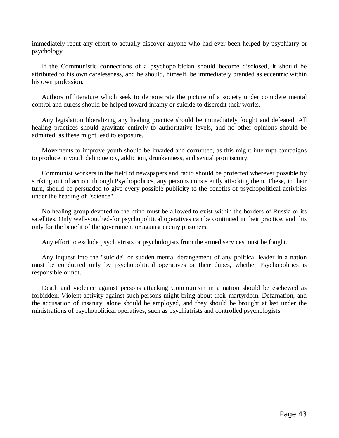immediately rebut any effort to actually discover anyone who had ever been helped by psychiatry or psychology.

If the Communistic connections of a psychopolitician should become disclosed, it should be attributed to his own carelessness, and he should, himself, be immediately branded as eccentric within his own profession.

Authors of literature which seek to demonstrate the picture of a society under complete mental control and duress should be helped toward infamy or suicide to discredit their works.

Any legislation liberalizing any healing practice should be immediately fought and defeated. All healing practices should gravitate entirely to authoritative levels, and no other opinions should be admitted, as these might lead to exposure.

Movements to improve youth should be invaded and corrupted, as this might interrupt campaigns to produce in youth delinquency, addiction, drunkenness, and sexual promiscuity.

Communist workers in the field of newspapers and radio should be protected wherever possible by striking out of action, through Psychopolitics, any persons consistently attacking them. These, in their turn, should be persuaded to give every possible publicity to the benefits of psychopolitical activities under the heading of "science".

No healing group devoted to the mind must be allowed to exist within the borders of Russia or its satellites. Only well-vouched-for psychopolitical operatives can be continued in their practice, and this only for the benefit of the government or against enemy prisoners.

Any effort to exclude psychiatrists or psychologists from the armed services must be fought.

Any inquest into the "suicide" or sudden mental derangement of any political leader in a nation must be conducted only by psychopolitical operatives or their dupes, whether Psychopolitics is responsible or not.

Death and violence against persons attacking Communism in a nation should be eschewed as forbidden. Violent activity against such persons might bring about their martyrdom. Defamation, and the accusation of insanity, alone should be employed, and they should be brought at last under the ministrations of psychopolitical operatives, such as psychiatrists and controlled psychologists.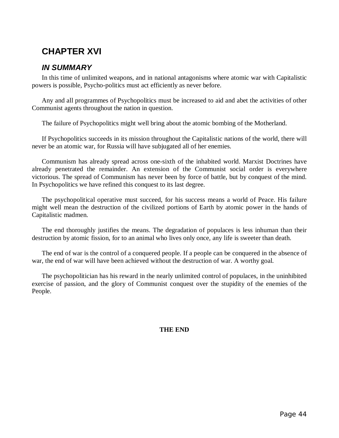## **CHAPTER XVI**

#### *IN SUMMARY*

In this time of unlimited weapons, and in national antagonisms where atomic war with Capitalistic powers is possible, Psycho-politics must act efficiently as never before.

Any and all programmes of Psychopolitics must be increased to aid and abet the activities of other Communist agents throughout the nation in question.

The failure of Psychopolitics might well bring about the atomic bombing of the Motherland.

If Psychopolitics succeeds in its mission throughout the Capitalistic nations of the world, there will never be an atomic war, for Russia will have subjugated all of her enemies.

Communism has already spread across one-sixth of the inhabited world. Marxist Doctrines have already penetrated the remainder. An extension of the Communist social order is everywhere victorious. The spread of Communism has never been by force of battle, but by conquest of the mind. In Psychopolitics we have refined this conquest to its last degree.

The psychopolitical operative must succeed, for his success means a world of Peace. His failure might well mean the destruction of the civilized portions of Earth by atomic power in the hands of Capitalistic madmen.

The end thoroughly justifies the means. The degradation of populaces is less inhuman than their destruction by atomic fission, for to an animal who lives only once, any life is sweeter than death.

The end of war is the control of a conquered people. If a people can be conquered in the absence of war, the end of war will have been achieved without the destruction of war. A worthy goal.

The psychopolitician has his reward in the nearly unlimited control of populaces, in the uninhibited exercise of passion, and the glory of Communist conquest over the stupidity of the enemies of the People.

#### **THE END**